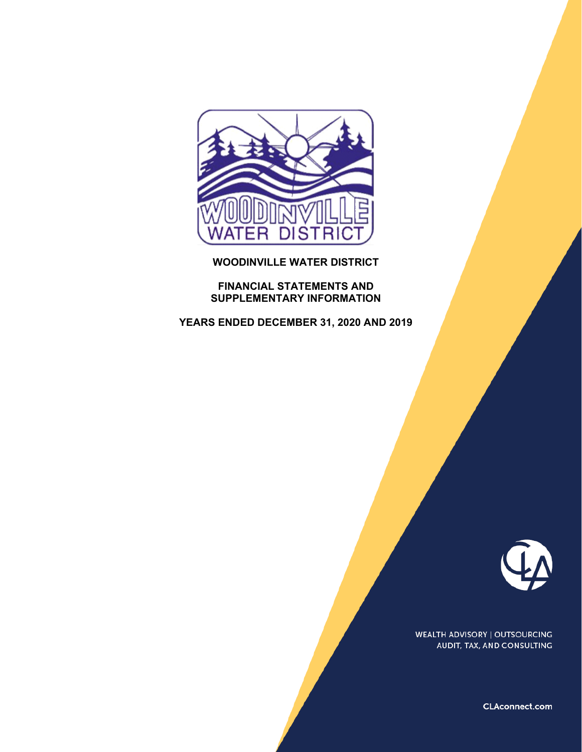

## **WOODINVILLE WATER DISTRICT**

## **FINANCIAL STATEMENTS AND SUPPLEMENTARY INFORMATION**

**YEARS ENDED DECEMBER 31, 2020 AND 2019** 



**WEALTH ADVISORY | OUTSOURCING** AUDIT, TAX, AND CONSULTING

CLAconnect.com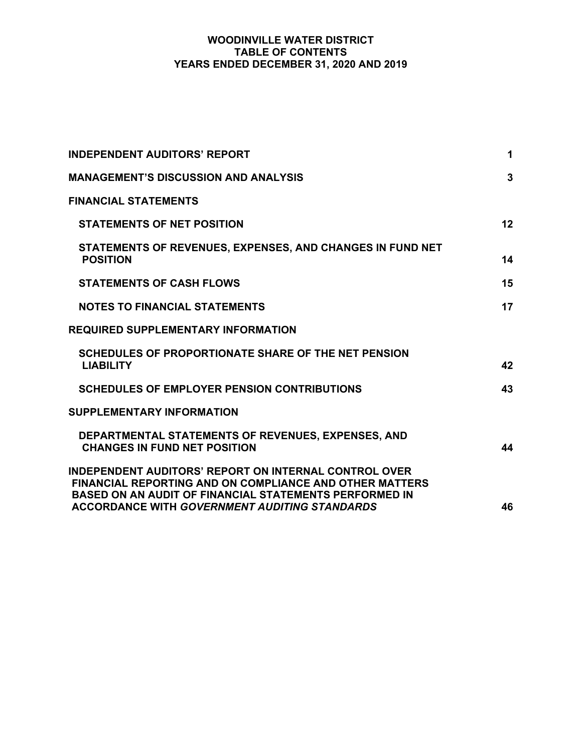## **WOODINVILLE WATER DISTRICT TABLE OF CONTENTS YEARS ENDED DECEMBER 31, 2020 AND 2019**

| <b>INDEPENDENT AUDITORS' REPORT</b>                                                                                                                                                                                                                     | 1              |
|---------------------------------------------------------------------------------------------------------------------------------------------------------------------------------------------------------------------------------------------------------|----------------|
| <b>MANAGEMENT'S DISCUSSION AND ANALYSIS</b>                                                                                                                                                                                                             | $\overline{3}$ |
| <b>FINANCIAL STATEMENTS</b>                                                                                                                                                                                                                             |                |
| <b>STATEMENTS OF NET POSITION</b>                                                                                                                                                                                                                       | 12             |
| STATEMENTS OF REVENUES, EXPENSES, AND CHANGES IN FUND NET<br><b>POSITION</b>                                                                                                                                                                            | 14             |
| <b>STATEMENTS OF CASH FLOWS</b>                                                                                                                                                                                                                         | 15             |
| <b>NOTES TO FINANCIAL STATEMENTS</b>                                                                                                                                                                                                                    | 17             |
| <b>REQUIRED SUPPLEMENTARY INFORMATION</b>                                                                                                                                                                                                               |                |
| <b>SCHEDULES OF PROPORTIONATE SHARE OF THE NET PENSION</b><br><b>LIABILITY</b>                                                                                                                                                                          | 42             |
| <b>SCHEDULES OF EMPLOYER PENSION CONTRIBUTIONS</b>                                                                                                                                                                                                      | 43             |
| SUPPLEMENTARY INFORMATION                                                                                                                                                                                                                               |                |
| DEPARTMENTAL STATEMENTS OF REVENUES, EXPENSES, AND<br><b>CHANGES IN FUND NET POSITION</b>                                                                                                                                                               | 44             |
| <b>INDEPENDENT AUDITORS' REPORT ON INTERNAL CONTROL OVER</b><br><b>FINANCIAL REPORTING AND ON COMPLIANCE AND OTHER MATTERS</b><br><b>BASED ON AN AUDIT OF FINANCIAL STATEMENTS PERFORMED IN</b><br><b>ACCORDANCE WITH GOVERNMENT AUDITING STANDARDS</b> | 46             |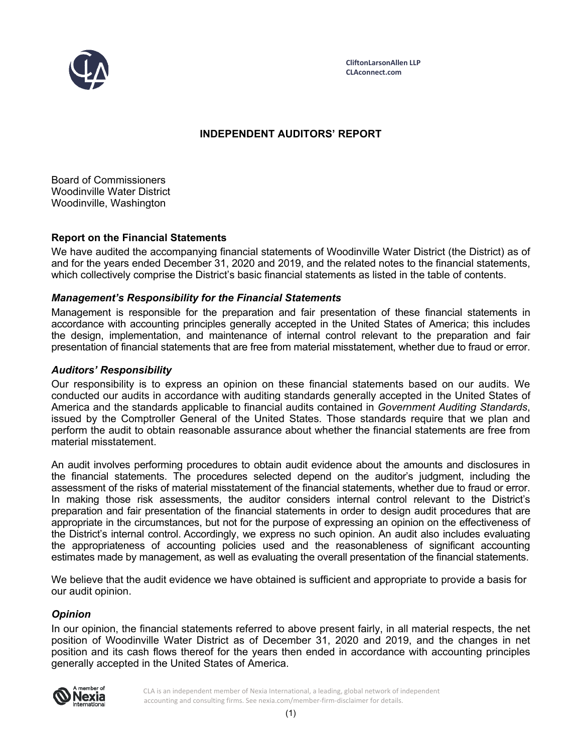

**CliftonLarsonAllen LLP CLAconnect.com**

## **INDEPENDENT AUDITORS' REPORT**

Board of Commissioners Woodinville Water District Woodinville, Washington

## **Report on the Financial Statements**

We have audited the accompanying financial statements of Woodinville Water District (the District) as of and for the years ended December 31, 2020 and 2019, and the related notes to the financial statements, which collectively comprise the District's basic financial statements as listed in the table of contents.

## *Management's Responsibility for the Financial Statements*

Management is responsible for the preparation and fair presentation of these financial statements in accordance with accounting principles generally accepted in the United States of America; this includes the design, implementation, and maintenance of internal control relevant to the preparation and fair presentation of financial statements that are free from material misstatement, whether due to fraud or error.

## *Auditors' Responsibility*

Our responsibility is to express an opinion on these financial statements based on our audits. We conducted our audits in accordance with auditing standards generally accepted in the United States of America and the standards applicable to financial audits contained in *Government Auditing Standards*, issued by the Comptroller General of the United States. Those standards require that we plan and perform the audit to obtain reasonable assurance about whether the financial statements are free from material misstatement.

An audit involves performing procedures to obtain audit evidence about the amounts and disclosures in the financial statements. The procedures selected depend on the auditor's judgment, including the assessment of the risks of material misstatement of the financial statements, whether due to fraud or error. In making those risk assessments, the auditor considers internal control relevant to the District's preparation and fair presentation of the financial statements in order to design audit procedures that are appropriate in the circumstances, but not for the purpose of expressing an opinion on the effectiveness of the District's internal control. Accordingly, we express no such opinion. An audit also includes evaluating the appropriateness of accounting policies used and the reasonableness of significant accounting estimates made by management, as well as evaluating the overall presentation of the financial statements.

We believe that the audit evidence we have obtained is sufficient and appropriate to provide a basis for our audit opinion.

## *Opinion*

In our opinion, the financial statements referred to above present fairly, in all material respects, the net position of Woodinville Water District as of December 31, 2020 and 2019, and the changes in net position and its cash flows thereof for the years then ended in accordance with accounting principles generally accepted in the United States of America.



CLA is an independent member of Nexia International, a leading, global network of independent accounting and consulting firms. See nexia.com/member-firm-disclaimer for details.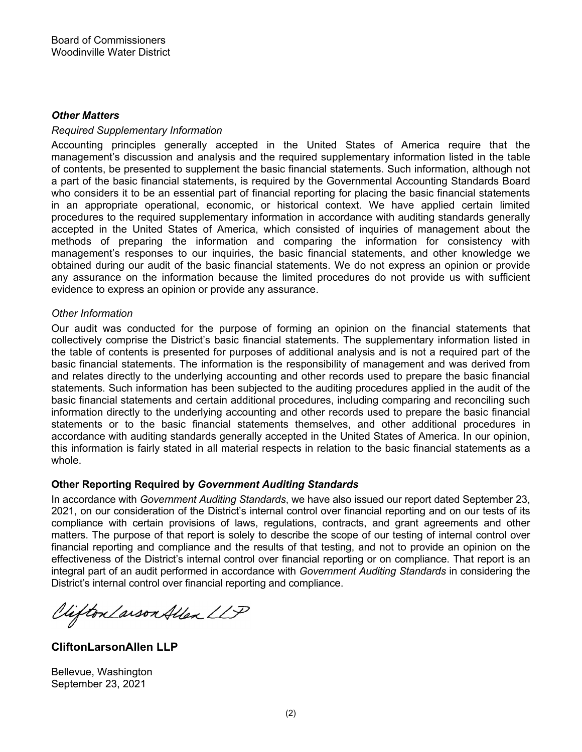## *Other Matters*

## *Required Supplementary Information*

Accounting principles generally accepted in the United States of America require that the management's discussion and analysis and the required supplementary information listed in the table of contents, be presented to supplement the basic financial statements. Such information, although not a part of the basic financial statements, is required by the Governmental Accounting Standards Board who considers it to be an essential part of financial reporting for placing the basic financial statements in an appropriate operational, economic, or historical context. We have applied certain limited procedures to the required supplementary information in accordance with auditing standards generally accepted in the United States of America, which consisted of inquiries of management about the methods of preparing the information and comparing the information for consistency with management's responses to our inquiries, the basic financial statements, and other knowledge we obtained during our audit of the basic financial statements. We do not express an opinion or provide any assurance on the information because the limited procedures do not provide us with sufficient evidence to express an opinion or provide any assurance.

## *Other Information*

Our audit was conducted for the purpose of forming an opinion on the financial statements that collectively comprise the District's basic financial statements. The supplementary information listed in the table of contents is presented for purposes of additional analysis and is not a required part of the basic financial statements. The information is the responsibility of management and was derived from and relates directly to the underlying accounting and other records used to prepare the basic financial statements. Such information has been subjected to the auditing procedures applied in the audit of the basic financial statements and certain additional procedures, including comparing and reconciling such information directly to the underlying accounting and other records used to prepare the basic financial statements or to the basic financial statements themselves, and other additional procedures in accordance with auditing standards generally accepted in the United States of America. In our opinion, this information is fairly stated in all material respects in relation to the basic financial statements as a whole.

## **Other Reporting Required by** *Government Auditing Standards*

In accordance with *Government Auditing Standards*, we have also issued our report dated September 23, 2021, on our consideration of the District's internal control over financial reporting and on our tests of its compliance with certain provisions of laws, regulations, contracts, and grant agreements and other matters. The purpose of that report is solely to describe the scope of our testing of internal control over financial reporting and compliance and the results of that testing, and not to provide an opinion on the effectiveness of the District's internal control over financial reporting or on compliance. That report is an integral part of an audit performed in accordance with *Government Auditing Standards* in considering the District's internal control over financial reporting and compliance.

Viifton Larson Allen LLP

**CliftonLarsonAllen LLP** 

Bellevue, Washington September 23, 2021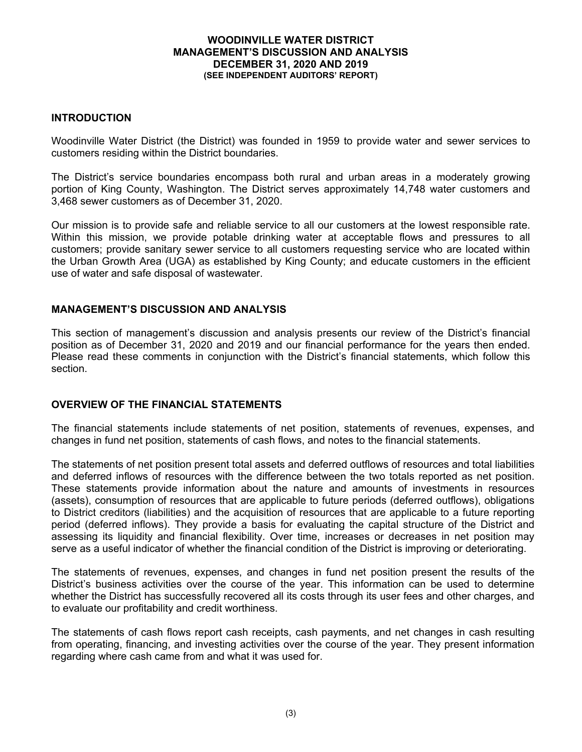## **INTRODUCTION**

Woodinville Water District (the District) was founded in 1959 to provide water and sewer services to customers residing within the District boundaries.

The District's service boundaries encompass both rural and urban areas in a moderately growing portion of King County, Washington. The District serves approximately 14,748 water customers and 3,468 sewer customers as of December 31, 2020.

Our mission is to provide safe and reliable service to all our customers at the lowest responsible rate. Within this mission, we provide potable drinking water at acceptable flows and pressures to all customers; provide sanitary sewer service to all customers requesting service who are located within the Urban Growth Area (UGA) as established by King County; and educate customers in the efficient use of water and safe disposal of wastewater.

## **MANAGEMENT'S DISCUSSION AND ANALYSIS**

This section of management's discussion and analysis presents our review of the District's financial position as of December 31, 2020 and 2019 and our financial performance for the years then ended. Please read these comments in conjunction with the District's financial statements, which follow this section.

## **OVERVIEW OF THE FINANCIAL STATEMENTS**

The financial statements include statements of net position, statements of revenues, expenses, and changes in fund net position, statements of cash flows, and notes to the financial statements.

The statements of net position present total assets and deferred outflows of resources and total liabilities and deferred inflows of resources with the difference between the two totals reported as net position. These statements provide information about the nature and amounts of investments in resources (assets), consumption of resources that are applicable to future periods (deferred outflows), obligations to District creditors (liabilities) and the acquisition of resources that are applicable to a future reporting period (deferred inflows). They provide a basis for evaluating the capital structure of the District and assessing its liquidity and financial flexibility. Over time, increases or decreases in net position may serve as a useful indicator of whether the financial condition of the District is improving or deteriorating.

The statements of revenues, expenses, and changes in fund net position present the results of the District's business activities over the course of the year. This information can be used to determine whether the District has successfully recovered all its costs through its user fees and other charges, and to evaluate our profitability and credit worthiness.

The statements of cash flows report cash receipts, cash payments, and net changes in cash resulting from operating, financing, and investing activities over the course of the year. They present information regarding where cash came from and what it was used for.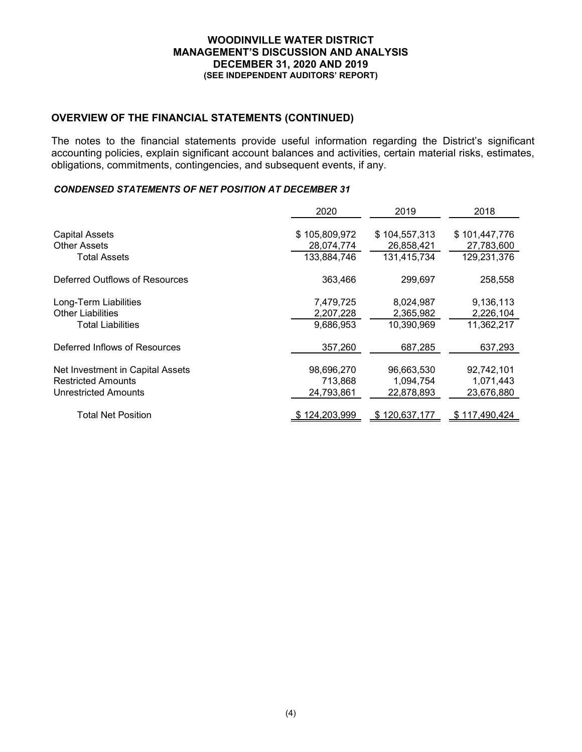## **OVERVIEW OF THE FINANCIAL STATEMENTS (CONTINUED)**

The notes to the financial statements provide useful information regarding the District's significant accounting policies, explain significant account balances and activities, certain material risks, estimates, obligations, commitments, contingencies, and subsequent events, if any.

## *CONDENSED STATEMENTS OF NET POSITION AT DECEMBER 31*

|                                  | 2020          | 2019          | 2018          |
|----------------------------------|---------------|---------------|---------------|
| <b>Capital Assets</b>            | \$105,809,972 | \$104,557,313 | \$101,447,776 |
| <b>Other Assets</b>              | 28,074,774    | 26,858,421    | 27,783,600    |
| <b>Total Assets</b>              | 133,884,746   | 131,415,734   | 129,231,376   |
| Deferred Outflows of Resources   | 363,466       | 299,697       | 258,558       |
| Long-Term Liabilities            | 7,479,725     | 8,024,987     | 9,136,113     |
| <b>Other Liabilities</b>         | 2,207,228     | 2,365,982     | 2,226,104     |
| <b>Total Liabilities</b>         | 9,686,953     | 10,390,969    | 11,362,217    |
| Deferred Inflows of Resources    | 357,260       | 687,285       | 637,293       |
| Net Investment in Capital Assets | 98,696,270    | 96,663,530    | 92,742,101    |
| <b>Restricted Amounts</b>        | 713,868       | 1,094,754     | 1,071,443     |
| Unrestricted Amounts             | 24,793,861    | 22,878,893    | 23,676,880    |
| <b>Total Net Position</b>        | \$124,203,999 | \$120,637,177 | \$117,490,424 |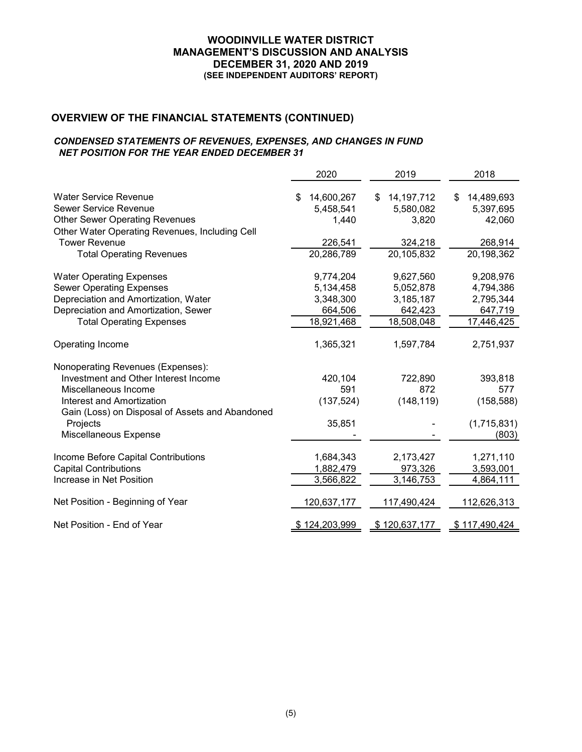## **OVERVIEW OF THE FINANCIAL STATEMENTS (CONTINUED)**

## *CONDENSED STATEMENTS OF REVENUES, EXPENSES, AND CHANGES IN FUND NET POSITION FOR THE YEAR ENDED DECEMBER 31*

|                                                                                                                                                         | 2020                                   | 2019                                     | 2018                                    |
|---------------------------------------------------------------------------------------------------------------------------------------------------------|----------------------------------------|------------------------------------------|-----------------------------------------|
| <b>Water Service Revenue</b><br><b>Sewer Service Revenue</b><br><b>Other Sewer Operating Revenues</b><br>Other Water Operating Revenues, Including Cell | \$<br>14,600,267<br>5,458,541<br>1,440 | \$<br>14, 197, 712<br>5,580,082<br>3,820 | \$<br>14,489,693<br>5,397,695<br>42,060 |
| <b>Tower Revenue</b>                                                                                                                                    | 226,541                                | 324,218                                  | 268,914                                 |
| <b>Total Operating Revenues</b>                                                                                                                         | 20,286,789                             | 20,105,832                               | 20,198,362                              |
| <b>Water Operating Expenses</b><br><b>Sewer Operating Expenses</b>                                                                                      | 9,774,204<br>5,134,458                 | 9,627,560<br>5,052,878                   | 9,208,976<br>4,794,386                  |
| Depreciation and Amortization, Water                                                                                                                    | 3,348,300                              | 3,185,187                                | 2,795,344                               |
| Depreciation and Amortization, Sewer                                                                                                                    | 664,506                                | 642,423                                  | 647,719                                 |
| <b>Total Operating Expenses</b>                                                                                                                         | 18,921,468                             | 18,508,048                               | 17,446,425                              |
| Operating Income                                                                                                                                        | 1,365,321                              | 1,597,784                                | 2,751,937                               |
| Nonoperating Revenues (Expenses):<br>Investment and Other Interest Income<br>Miscellaneous Income                                                       | 420,104<br>591                         | 722,890<br>872                           | 393,818<br>577                          |
| Interest and Amortization<br>Gain (Loss) on Disposal of Assets and Abandoned                                                                            | (137, 524)                             | (148, 119)                               | (158, 588)                              |
| Projects<br>Miscellaneous Expense                                                                                                                       | 35,851                                 |                                          | (1,715,831)<br>(803)                    |
| Income Before Capital Contributions                                                                                                                     | 1,684,343                              | 2,173,427                                | 1,271,110                               |
| <b>Capital Contributions</b>                                                                                                                            | 1,882,479                              | 973,326                                  | 3,593,001                               |
| Increase in Net Position                                                                                                                                | 3,566,822                              | 3,146,753                                | 4,864,111                               |
| Net Position - Beginning of Year                                                                                                                        | 120,637,177                            | 117,490,424                              | 112,626,313                             |
| Net Position - End of Year                                                                                                                              | \$124,203,999                          | \$120,637,177                            | \$117,490,424                           |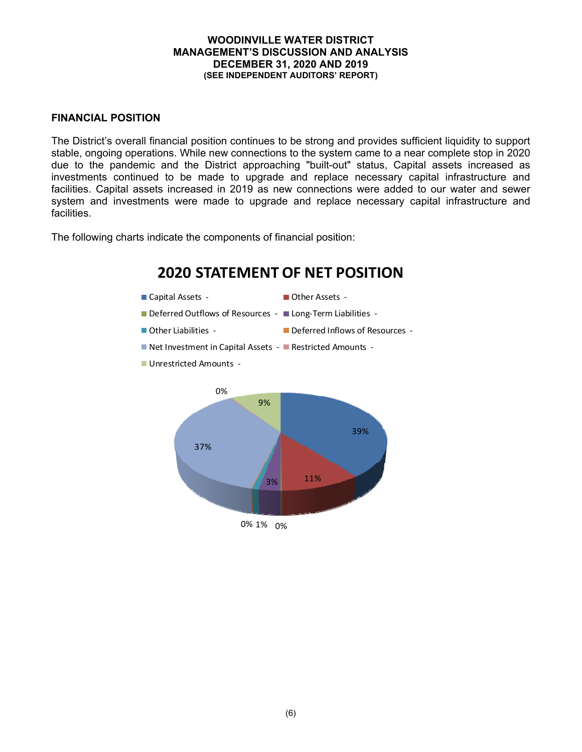## **FINANCIAL POSITION**

The District's overall financial position continues to be strong and provides sufficient liquidity to support stable, ongoing operations. While new connections to the system came to a near complete stop in 2020 due to the pandemic and the District approaching "built-out" status, Capital assets increased as investments continued to be made to upgrade and replace necessary capital infrastructure and facilities. Capital assets increased in 2019 as new connections were added to our water and sewer system and investments were made to upgrade and replace necessary capital infrastructure and facilities.

The following charts indicate the components of financial position:

# **2020 STATEMENT OF NET POSITION**



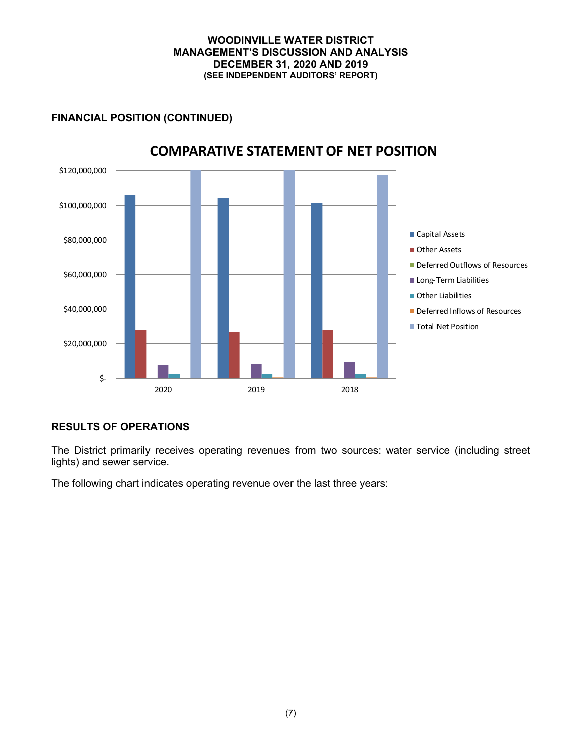# \$‐ \$20,000,000 \$40,000,000 \$60,000,000 \$80,000,000 \$100,000,000 \$120,000,000 2020 2019 2018 **COMPARATIVE STATEMENT OF NET POSITION** Capital Assets Other Assets Deferred Outflows of Resources ■ Long-Term Liabilities Other Liabilities Deferred Inflows of Resources ■ Total Net Position

## **FINANCIAL POSITION (CONTINUED)**

## **RESULTS OF OPERATIONS**

The District primarily receives operating revenues from two sources: water service (including street lights) and sewer service.

The following chart indicates operating revenue over the last three years: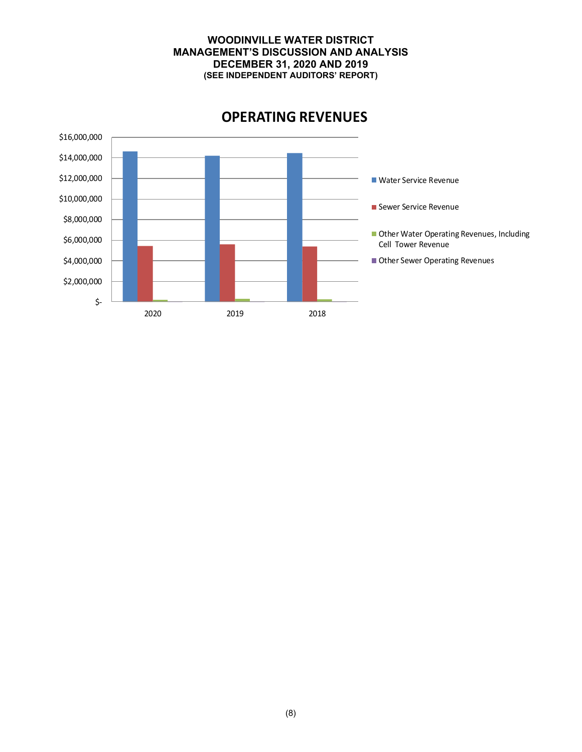

**OPERATING REVENUES**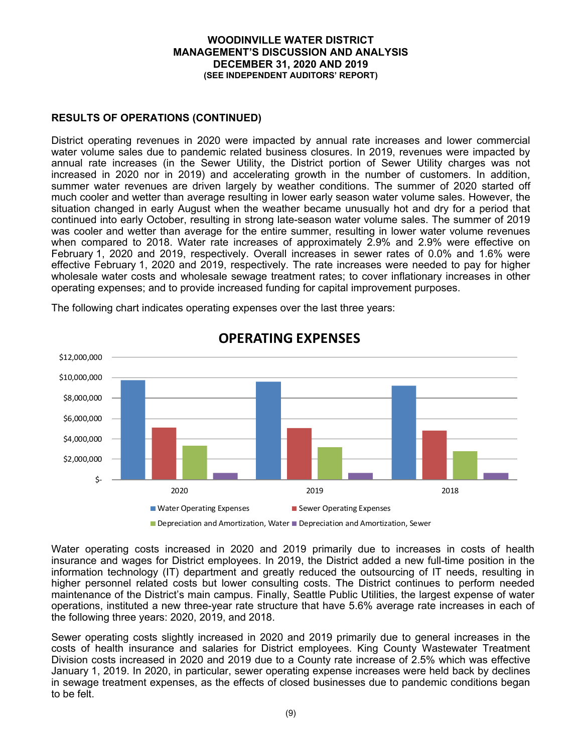## **RESULTS OF OPERATIONS (CONTINUED)**

District operating revenues in 2020 were impacted by annual rate increases and lower commercial water volume sales due to pandemic related business closures. In 2019, revenues were impacted by annual rate increases (in the Sewer Utility, the District portion of Sewer Utility charges was not increased in 2020 nor in 2019) and accelerating growth in the number of customers. In addition, summer water revenues are driven largely by weather conditions. The summer of 2020 started off much cooler and wetter than average resulting in lower early season water volume sales. However, the situation changed in early August when the weather became unusually hot and dry for a period that continued into early October, resulting in strong late-season water volume sales. The summer of 2019 was cooler and wetter than average for the entire summer, resulting in lower water volume revenues when compared to 2018. Water rate increases of approximately 2.9% and 2.9% were effective on February 1, 2020 and 2019, respectively. Overall increases in sewer rates of 0.0% and 1.6% were effective February 1, 2020 and 2019, respectively. The rate increases were needed to pay for higher wholesale water costs and wholesale sewage treatment rates; to cover inflationary increases in other operating expenses; and to provide increased funding for capital improvement purposes.



The following chart indicates operating expenses over the last three years:

■ Depreciation and Amortization, Water ■ Depreciation and Amortization, Sewer

Water operating costs increased in 2020 and 2019 primarily due to increases in costs of health insurance and wages for District employees. In 2019, the District added a new full-time position in the information technology (IT) department and greatly reduced the outsourcing of IT needs, resulting in higher personnel related costs but lower consulting costs. The District continues to perform needed maintenance of the District's main campus. Finally, Seattle Public Utilities, the largest expense of water operations, instituted a new three-year rate structure that have 5.6% average rate increases in each of the following three years: 2020, 2019, and 2018.

Sewer operating costs slightly increased in 2020 and 2019 primarily due to general increases in the costs of health insurance and salaries for District employees. King County Wastewater Treatment Division costs increased in 2020 and 2019 due to a County rate increase of 2.5% which was effective January 1, 2019. In 2020, in particular, sewer operating expense increases were held back by declines in sewage treatment expenses, as the effects of closed businesses due to pandemic conditions began to be felt.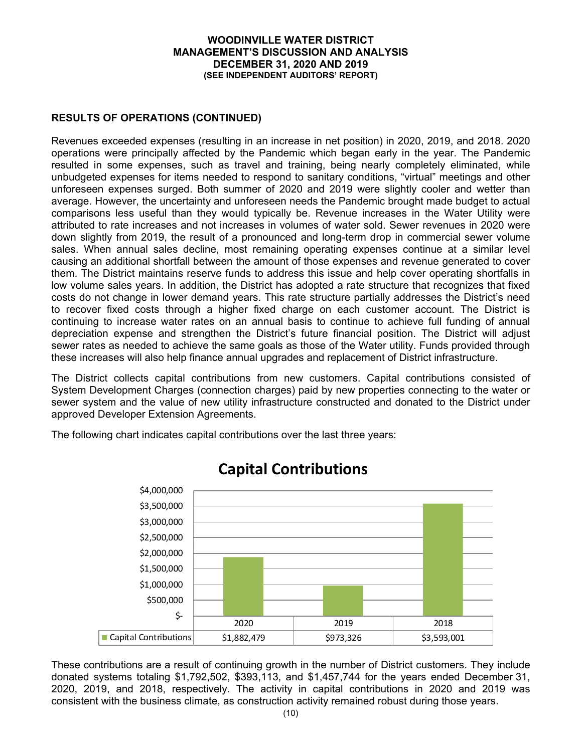## **RESULTS OF OPERATIONS (CONTINUED)**

Revenues exceeded expenses (resulting in an increase in net position) in 2020, 2019, and 2018. 2020 operations were principally affected by the Pandemic which began early in the year. The Pandemic resulted in some expenses, such as travel and training, being nearly completely eliminated, while unbudgeted expenses for items needed to respond to sanitary conditions, "virtual" meetings and other unforeseen expenses surged. Both summer of 2020 and 2019 were slightly cooler and wetter than average. However, the uncertainty and unforeseen needs the Pandemic brought made budget to actual comparisons less useful than they would typically be. Revenue increases in the Water Utility were attributed to rate increases and not increases in volumes of water sold. Sewer revenues in 2020 were down slightly from 2019, the result of a pronounced and long-term drop in commercial sewer volume sales. When annual sales decline, most remaining operating expenses continue at a similar level causing an additional shortfall between the amount of those expenses and revenue generated to cover them. The District maintains reserve funds to address this issue and help cover operating shortfalls in low volume sales years. In addition, the District has adopted a rate structure that recognizes that fixed costs do not change in lower demand years. This rate structure partially addresses the District's need to recover fixed costs through a higher fixed charge on each customer account. The District is continuing to increase water rates on an annual basis to continue to achieve full funding of annual depreciation expense and strengthen the District's future financial position. The District will adjust sewer rates as needed to achieve the same goals as those of the Water utility. Funds provided through these increases will also help finance annual upgrades and replacement of District infrastructure.

The District collects capital contributions from new customers. Capital contributions consisted of System Development Charges (connection charges) paid by new properties connecting to the water or sewer system and the value of new utility infrastructure constructed and donated to the District under approved Developer Extension Agreements.

The following chart indicates capital contributions over the last three years:



# **Capital Contributions**

These contributions are a result of continuing growth in the number of District customers. They include donated systems totaling \$1,792,502, \$393,113, and \$1,457,744 for the years ended December 31, 2020, 2019, and 2018, respectively. The activity in capital contributions in 2020 and 2019 was consistent with the business climate, as construction activity remained robust during those years.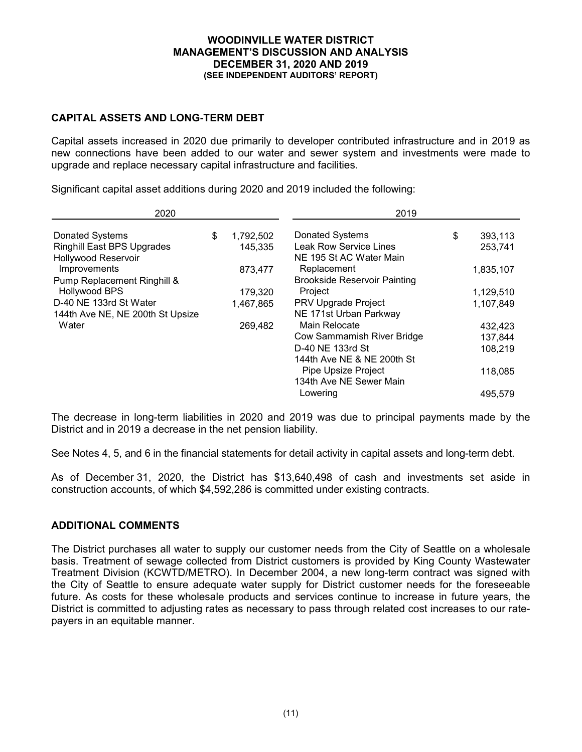## **CAPITAL ASSETS AND LONG-TERM DEBT**

Capital assets increased in 2020 due primarily to developer contributed infrastructure and in 2019 as new connections have been added to our water and sewer system and investments were made to upgrade and replace necessary capital infrastructure and facilities.

Significant capital asset additions during 2020 and 2019 included the following:

| 2020                                                            |    |           | 2019                                                     |    |           |
|-----------------------------------------------------------------|----|-----------|----------------------------------------------------------|----|-----------|
| <b>Donated Systems</b>                                          | \$ | 1,792,502 | <b>Donated Systems</b>                                   | \$ | 393,113   |
| <b>Ringhill East BPS Upgrades</b><br><b>Hollywood Reservoir</b> |    | 145,335   | <b>Leak Row Service Lines</b><br>NE 195 St AC Water Main |    | 253,741   |
| Improvements<br>Pump Replacement Ringhill &                     |    | 873,477   | Replacement<br><b>Brookside Reservoir Painting</b>       |    | 1,835,107 |
| Hollywood BPS                                                   |    | 179.320   | Project                                                  |    | 1,129,510 |
| D-40 NE 133rd St Water<br>144th Ave NE, NE 200th St Upsize      |    | 1,467,865 | PRV Upgrade Project<br>NE 171st Urban Parkway            |    | 1,107,849 |
| Water                                                           |    | 269.482   | Main Relocate                                            |    | 432,423   |
|                                                                 |    |           | Cow Sammamish River Bridge                               |    | 137,844   |
|                                                                 |    |           | D-40 NE 133rd St<br>144th Ave NE & NE 200th St           |    | 108,219   |
|                                                                 |    |           | Pipe Upsize Project<br>134th Ave NE Sewer Main           |    | 118,085   |
|                                                                 |    |           | Lowering                                                 |    | 495,579   |

The decrease in long-term liabilities in 2020 and 2019 was due to principal payments made by the District and in 2019 a decrease in the net pension liability.

See Notes 4, 5, and 6 in the financial statements for detail activity in capital assets and long-term debt.

As of December 31, 2020, the District has \$13,640,498 of cash and investments set aside in construction accounts, of which \$4,592,286 is committed under existing contracts.

## **ADDITIONAL COMMENTS**

The District purchases all water to supply our customer needs from the City of Seattle on a wholesale basis. Treatment of sewage collected from District customers is provided by King County Wastewater Treatment Division (KCWTD/METRO). In December 2004, a new long-term contract was signed with the City of Seattle to ensure adequate water supply for District customer needs for the foreseeable future. As costs for these wholesale products and services continue to increase in future years, the District is committed to adjusting rates as necessary to pass through related cost increases to our ratepayers in an equitable manner.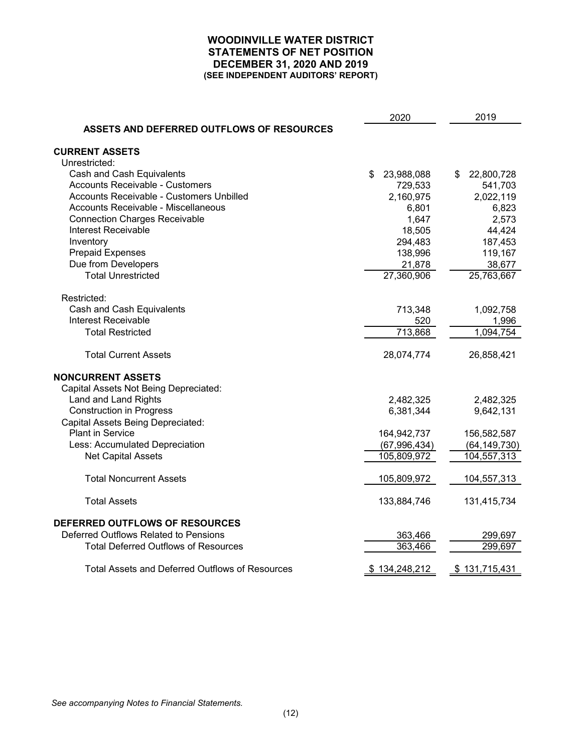## **WOODINVILLE WATER DISTRICT STATEMENTS OF NET POSITION DECEMBER 31, 2020 AND 2019 (SEE INDEPENDENT AUDITORS' REPORT)**

|                                                        | 2020             | 2019             |
|--------------------------------------------------------|------------------|------------------|
| <b>ASSETS AND DEFERRED OUTFLOWS OF RESOURCES</b>       |                  |                  |
| <b>CURRENT ASSETS</b>                                  |                  |                  |
| Unrestricted:                                          |                  |                  |
| Cash and Cash Equivalents                              | 23,988,088<br>\$ | 22,800,728<br>\$ |
| <b>Accounts Receivable - Customers</b>                 | 729,533          | 541,703          |
| Accounts Receivable - Customers Unbilled               | 2,160,975        | 2,022,119        |
| Accounts Receivable - Miscellaneous                    | 6,801            | 6,823            |
| <b>Connection Charges Receivable</b>                   | 1,647            | 2,573            |
| <b>Interest Receivable</b>                             | 18,505           | 44,424           |
| Inventory                                              | 294,483          | 187,453          |
| <b>Prepaid Expenses</b>                                | 138,996          | 119,167          |
| Due from Developers                                    | 21,878           | 38,677           |
| <b>Total Unrestricted</b>                              | 27,360,906       | 25,763,667       |
| Restricted:                                            |                  |                  |
| Cash and Cash Equivalents                              | 713,348          | 1,092,758        |
| Interest Receivable                                    | 520              | 1,996            |
| <b>Total Restricted</b>                                | 713,868          | 1,094,754        |
| <b>Total Current Assets</b>                            | 28,074,774       | 26,858,421       |
| <b>NONCURRENT ASSETS</b>                               |                  |                  |
| Capital Assets Not Being Depreciated:                  |                  |                  |
| Land and Land Rights                                   | 2,482,325        | 2,482,325        |
| <b>Construction in Progress</b>                        | 6,381,344        | 9,642,131        |
| <b>Capital Assets Being Depreciated:</b>               |                  |                  |
| <b>Plant in Service</b>                                | 164,942,737      | 156,582,587      |
| Less: Accumulated Depreciation                         | (67, 996, 434)   | (64, 149, 730)   |
| <b>Net Capital Assets</b>                              | 105,809,972      | 104,557,313      |
| <b>Total Noncurrent Assets</b>                         | 105,809,972      | 104,557,313      |
| <b>Total Assets</b>                                    | 133,884,746      | 131,415,734      |
| <b>DEFERRED OUTFLOWS OF RESOURCES</b>                  |                  |                  |
| Deferred Outflows Related to Pensions                  | 363,466          | 299,697          |
| <b>Total Deferred Outflows of Resources</b>            | 363,466          | 299,697          |
| <b>Total Assets and Deferred Outflows of Resources</b> | \$134,248,212    | \$131,715,431    |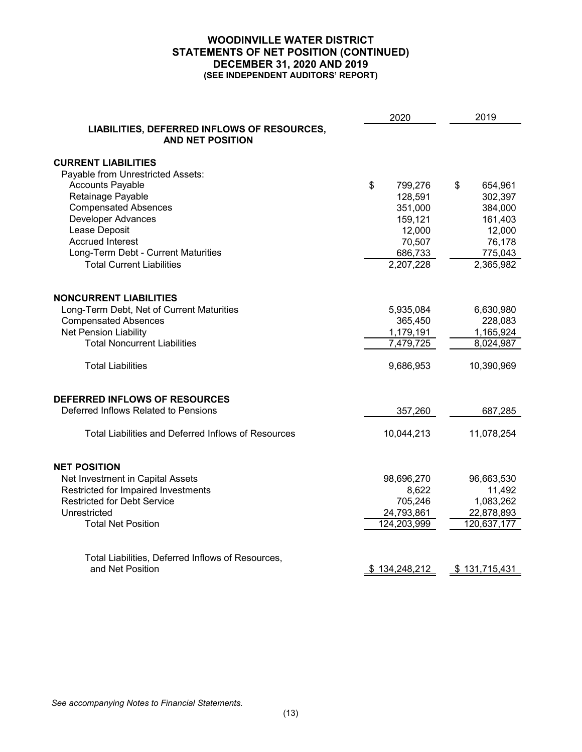## **WOODINVILLE WATER DISTRICT STATEMENTS OF NET POSITION (CONTINUED) DECEMBER 31, 2020 AND 2019 (SEE INDEPENDENT AUDITORS' REPORT)**

|                                                                        | 2020          | 2019          |
|------------------------------------------------------------------------|---------------|---------------|
| LIABILITIES, DEFERRED INFLOWS OF RESOURCES,<br><b>AND NET POSITION</b> |               |               |
| <b>CURRENT LIABILITIES</b>                                             |               |               |
| Payable from Unrestricted Assets:                                      |               |               |
| <b>Accounts Payable</b>                                                | \$<br>799,276 | \$<br>654,961 |
| Retainage Payable                                                      | 128,591       | 302,397       |
| <b>Compensated Absences</b>                                            | 351,000       | 384,000       |
| Developer Advances                                                     | 159,121       | 161,403       |
| Lease Deposit                                                          | 12,000        | 12,000        |
| <b>Accrued Interest</b>                                                | 70,507        | 76,178        |
| Long-Term Debt - Current Maturities                                    | 686,733       | 775,043       |
| <b>Total Current Liabilities</b>                                       | 2,207,228     | 2,365,982     |
| <b>NONCURRENT LIABILITIES</b>                                          |               |               |
| Long-Term Debt, Net of Current Maturities                              | 5,935,084     | 6,630,980     |
| <b>Compensated Absences</b>                                            | 365,450       | 228,083       |
| Net Pension Liability                                                  | 1,179,191     | 1,165,924     |
| <b>Total Noncurrent Liabilities</b>                                    | 7,479,725     | 8,024,987     |
| <b>Total Liabilities</b>                                               | 9,686,953     | 10,390,969    |
| DEFERRED INFLOWS OF RESOURCES                                          |               |               |
| Deferred Inflows Related to Pensions                                   | 357,260       | 687,285       |
| Total Liabilities and Deferred Inflows of Resources                    | 10,044,213    | 11,078,254    |
| <b>NET POSITION</b>                                                    |               |               |
| Net Investment in Capital Assets                                       | 98,696,270    | 96,663,530    |
| Restricted for Impaired Investments                                    | 8,622         | 11,492        |
| <b>Restricted for Debt Service</b>                                     | 705,246       | 1,083,262     |
| Unrestricted                                                           | 24,793,861    | 22,878,893    |
| <b>Total Net Position</b>                                              | 124,203,999   | 120,637,177   |
| Total Liabilities, Deferred Inflows of Resources,                      |               |               |
| and Net Position                                                       | \$134,248,212 | \$131,715,431 |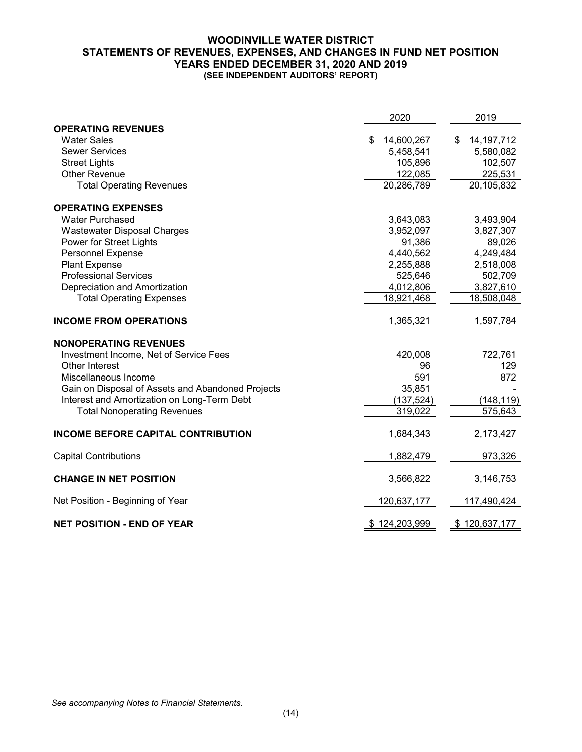## **WOODINVILLE WATER DISTRICT STATEMENTS OF REVENUES, EXPENSES, AND CHANGES IN FUND NET POSITION YEARS ENDED DECEMBER 31, 2020 AND 2019 (SEE INDEPENDENT AUDITORS' REPORT)**

|                                                   | 2020             | 2019               |
|---------------------------------------------------|------------------|--------------------|
| <b>OPERATING REVENUES</b>                         |                  |                    |
| <b>Water Sales</b>                                | 14,600,267<br>\$ | 14, 197, 712<br>\$ |
| <b>Sewer Services</b>                             | 5,458,541        | 5,580,082          |
| <b>Street Lights</b>                              | 105,896          | 102,507            |
| <b>Other Revenue</b>                              | 122,085          | 225,531            |
| <b>Total Operating Revenues</b>                   | 20,286,789       | 20,105,832         |
| <b>OPERATING EXPENSES</b>                         |                  |                    |
| <b>Water Purchased</b>                            | 3,643,083        | 3,493,904          |
| <b>Wastewater Disposal Charges</b>                | 3,952,097        | 3,827,307          |
| Power for Street Lights                           | 91,386           | 89,026             |
| <b>Personnel Expense</b>                          | 4,440,562        | 4,249,484          |
| <b>Plant Expense</b>                              | 2,255,888        | 2,518,008          |
| <b>Professional Services</b>                      | 525,646          | 502,709            |
| Depreciation and Amortization                     | 4,012,806        | 3,827,610          |
| <b>Total Operating Expenses</b>                   | 18,921,468       | 18,508,048         |
| <b>INCOME FROM OPERATIONS</b>                     | 1,365,321        | 1,597,784          |
| <b>NONOPERATING REVENUES</b>                      |                  |                    |
| Investment Income, Net of Service Fees            | 420,008          | 722,761            |
| Other Interest                                    | 96               | 129                |
| Miscellaneous Income                              | 591              | 872                |
| Gain on Disposal of Assets and Abandoned Projects | 35,851           |                    |
| Interest and Amortization on Long-Term Debt       | (137, 524)       | (148, 119)         |
| <b>Total Nonoperating Revenues</b>                | 319,022          | 575,643            |
| <b>INCOME BEFORE CAPITAL CONTRIBUTION</b>         | 1,684,343        | 2,173,427          |
| <b>Capital Contributions</b>                      | 1,882,479        | 973,326            |
| <b>CHANGE IN NET POSITION</b>                     | 3,566,822        | 3,146,753          |
| Net Position - Beginning of Year                  | 120,637,177      | 117,490,424        |
| <b>NET POSITION - END OF YEAR</b>                 | \$124,203,999    | \$120,637,177      |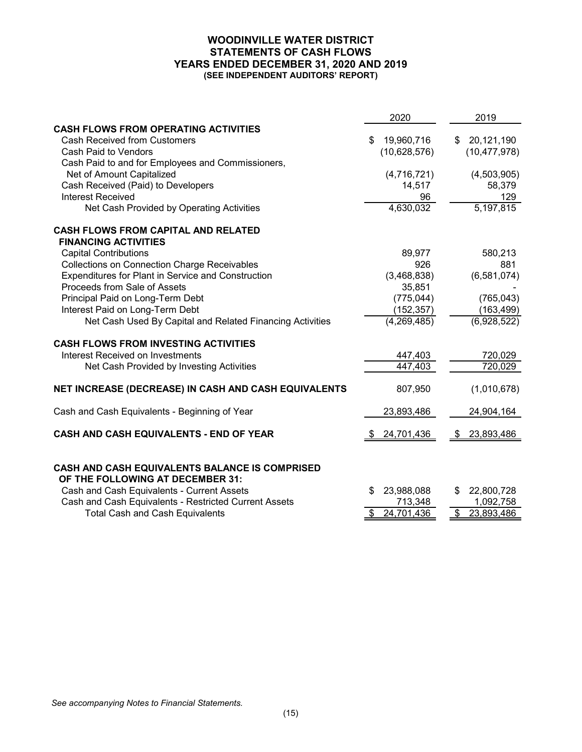## **WOODINVILLE WATER DISTRICT STATEMENTS OF CASH FLOWS YEARS ENDED DECEMBER 31, 2020 AND 2019 (SEE INDEPENDENT AUDITORS' REPORT)**

|                                                                                | 2020             | 2019             |
|--------------------------------------------------------------------------------|------------------|------------------|
| <b>CASH FLOWS FROM OPERATING ACTIVITIES</b>                                    |                  |                  |
| <b>Cash Received from Customers</b>                                            | 19,960,716<br>\$ | 20,121,190<br>S. |
| Cash Paid to Vendors                                                           | (10,628,576)     | (10, 477, 978)   |
| Cash Paid to and for Employees and Commissioners,<br>Net of Amount Capitalized | (4,716,721)      | (4,503,905)      |
| Cash Received (Paid) to Developers                                             | 14,517           | 58,379           |
| <b>Interest Received</b>                                                       | 96               | 129              |
| Net Cash Provided by Operating Activities                                      | 4,630,032        | 5,197,815        |
| <b>CASH FLOWS FROM CAPITAL AND RELATED</b>                                     |                  |                  |
| <b>FINANCING ACTIVITIES</b>                                                    |                  |                  |
| <b>Capital Contributions</b>                                                   | 89,977           | 580,213          |
| <b>Collections on Connection Charge Receivables</b>                            | 926              | 881              |
| <b>Expenditures for Plant in Service and Construction</b>                      | (3,468,838)      | (6,581,074)      |
| Proceeds from Sale of Assets                                                   | 35,851           |                  |
| Principal Paid on Long-Term Debt                                               | (775, 044)       | (765, 043)       |
| Interest Paid on Long-Term Debt                                                | (152, 357)       | (163, 499)       |
| Net Cash Used By Capital and Related Financing Activities                      | (4,269,485)      | (6,928,522)      |
| <b>CASH FLOWS FROM INVESTING ACTIVITIES</b>                                    |                  |                  |
| Interest Received on Investments                                               | 447,403          | 720,029          |
| Net Cash Provided by Investing Activities                                      | 447,403          | 720,029          |
| NET INCREASE (DECREASE) IN CASH AND CASH EQUIVALENTS                           | 807,950          | (1,010,678)      |
| Cash and Cash Equivalents - Beginning of Year                                  | 23,893,486       | 24,904,164       |
| CASH AND CASH EQUIVALENTS - END OF YEAR                                        | 24,701,436       | 23,893,486       |
| CASH AND CASH EQUIVALENTS BALANCE IS COMPRISED                                 |                  |                  |
| OF THE FOLLOWING AT DECEMBER 31:                                               |                  |                  |
| Cash and Cash Equivalents - Current Assets                                     | 23,988,088       | 22,800,728<br>S  |
| Cash and Cash Equivalents - Restricted Current Assets                          | 713,348          | 1,092,758        |
| <b>Total Cash and Cash Equivalents</b>                                         | 24,701,436<br>\$ | 23,893,486<br>\$ |
|                                                                                |                  |                  |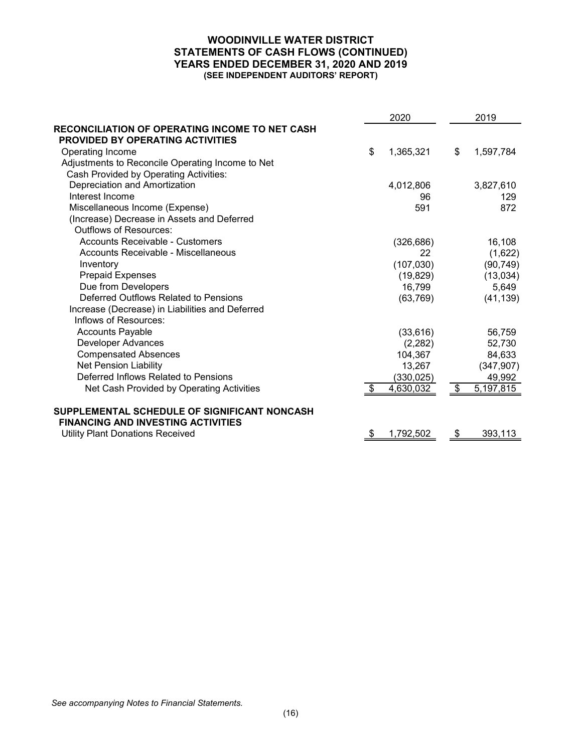## **WOODINVILLE WATER DISTRICT STATEMENTS OF CASH FLOWS (CONTINUED) YEARS ENDED DECEMBER 31, 2020 AND 2019 (SEE INDEPENDENT AUDITORS' REPORT)**

|                                                                                           |      | 2020       |    | 2019       |
|-------------------------------------------------------------------------------------------|------|------------|----|------------|
| RECONCILIATION OF OPERATING INCOME TO NET CASH<br><b>PROVIDED BY OPERATING ACTIVITIES</b> |      |            |    |            |
| Operating Income                                                                          | \$   | 1,365,321  | \$ | 1,597,784  |
| Adjustments to Reconcile Operating Income to Net                                          |      |            |    |            |
| Cash Provided by Operating Activities:                                                    |      |            |    |            |
| Depreciation and Amortization                                                             |      | 4,012,806  |    | 3,827,610  |
| Interest Income                                                                           |      | 96         |    | 129        |
| Miscellaneous Income (Expense)                                                            |      | 591        |    | 872        |
| (Increase) Decrease in Assets and Deferred                                                |      |            |    |            |
| <b>Outflows of Resources:</b>                                                             |      |            |    |            |
| Accounts Receivable - Customers                                                           |      | (326, 686) |    | 16,108     |
| Accounts Receivable - Miscellaneous                                                       |      | 22         |    | (1,622)    |
| Inventory                                                                                 |      | (107, 030) |    | (90, 749)  |
| <b>Prepaid Expenses</b>                                                                   |      | (19, 829)  |    | (13,034)   |
| Due from Developers                                                                       |      | 16,799     |    | 5,649      |
| Deferred Outflows Related to Pensions                                                     |      | (63, 769)  |    | (41, 139)  |
| Increase (Decrease) in Liabilities and Deferred                                           |      |            |    |            |
| Inflows of Resources:                                                                     |      |            |    |            |
| <b>Accounts Payable</b>                                                                   |      | (33, 616)  |    | 56,759     |
| Developer Advances                                                                        |      | (2,282)    |    | 52,730     |
| <b>Compensated Absences</b>                                                               |      | 104,367    |    | 84,633     |
| Net Pension Liability                                                                     |      | 13,267     |    | (347, 907) |
| Deferred Inflows Related to Pensions                                                      |      | (330, 025) |    | 49,992     |
| Net Cash Provided by Operating Activities                                                 |      | 4,630,032  | \$ | 5,197,815  |
| SUPPLEMENTAL SCHEDULE OF SIGNIFICANT NONCASH                                              |      |            |    |            |
| <b>FINANCING AND INVESTING ACTIVITIES</b>                                                 |      |            |    |            |
| <b>Utility Plant Donations Received</b>                                                   | - \$ | 1,792,502  | Ъ  | 393.113    |
|                                                                                           |      |            |    |            |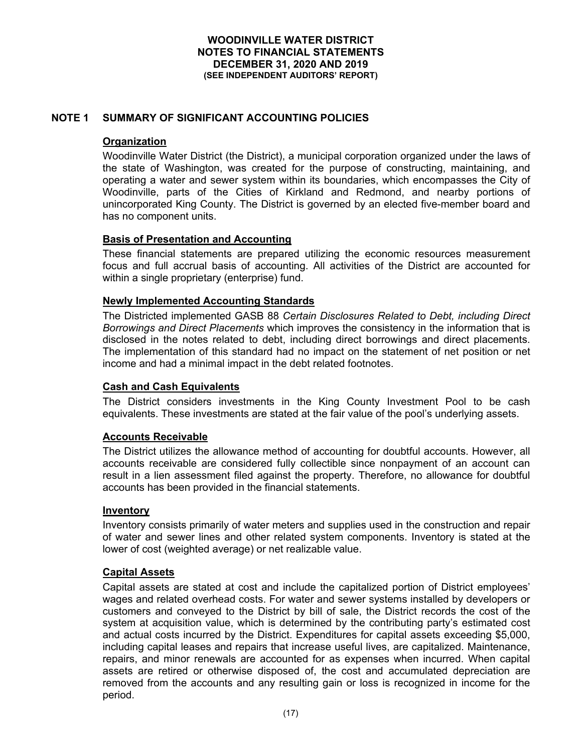## **NOTE 1 SUMMARY OF SIGNIFICANT ACCOUNTING POLICIES**

## **Organization**

Woodinville Water District (the District), a municipal corporation organized under the laws of the state of Washington, was created for the purpose of constructing, maintaining, and operating a water and sewer system within its boundaries, which encompasses the City of Woodinville, parts of the Cities of Kirkland and Redmond, and nearby portions of unincorporated King County. The District is governed by an elected five-member board and has no component units.

## **Basis of Presentation and Accounting**

These financial statements are prepared utilizing the economic resources measurement focus and full accrual basis of accounting. All activities of the District are accounted for within a single proprietary (enterprise) fund.

## **Newly Implemented Accounting Standards**

The Districted implemented GASB 88 *Certain Disclosures Related to Debt, including Direct Borrowings and Direct Placements* which improves the consistency in the information that is disclosed in the notes related to debt, including direct borrowings and direct placements. The implementation of this standard had no impact on the statement of net position or net income and had a minimal impact in the debt related footnotes.

## **Cash and Cash Equivalents**

The District considers investments in the King County Investment Pool to be cash equivalents. These investments are stated at the fair value of the pool's underlying assets.

## **Accounts Receivable**

The District utilizes the allowance method of accounting for doubtful accounts. However, all accounts receivable are considered fully collectible since nonpayment of an account can result in a lien assessment filed against the property. Therefore, no allowance for doubtful accounts has been provided in the financial statements.

## **Inventory**

Inventory consists primarily of water meters and supplies used in the construction and repair of water and sewer lines and other related system components. Inventory is stated at the lower of cost (weighted average) or net realizable value.

## **Capital Assets**

Capital assets are stated at cost and include the capitalized portion of District employees' wages and related overhead costs. For water and sewer systems installed by developers or customers and conveyed to the District by bill of sale, the District records the cost of the system at acquisition value, which is determined by the contributing party's estimated cost and actual costs incurred by the District. Expenditures for capital assets exceeding \$5,000, including capital leases and repairs that increase useful lives, are capitalized. Maintenance, repairs, and minor renewals are accounted for as expenses when incurred. When capital assets are retired or otherwise disposed of, the cost and accumulated depreciation are removed from the accounts and any resulting gain or loss is recognized in income for the period.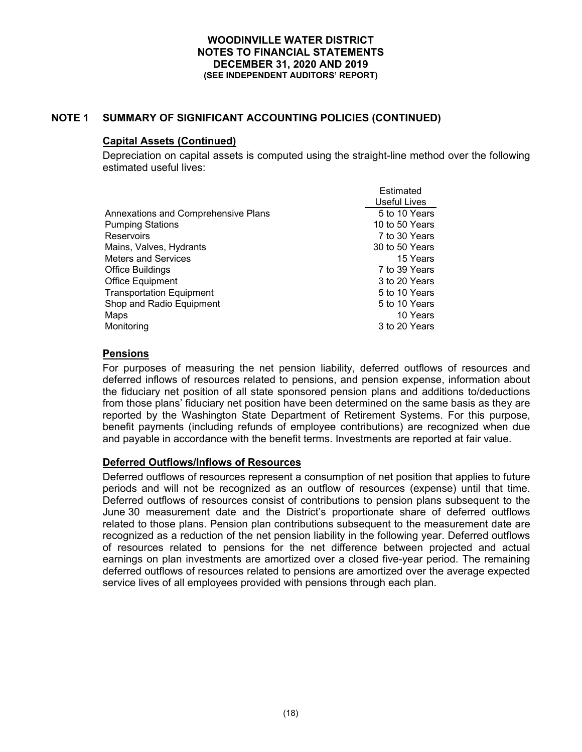## **NOTE 1 SUMMARY OF SIGNIFICANT ACCOUNTING POLICIES (CONTINUED)**

## **Capital Assets (Continued)**

Depreciation on capital assets is computed using the straight-line method over the following estimated useful lives:

|                                     | Estimated<br>Useful Lives |
|-------------------------------------|---------------------------|
| Annexations and Comprehensive Plans | 5 to 10 Years             |
| <b>Pumping Stations</b>             | 10 to 50 Years            |
| Reservoirs                          | 7 to 30 Years             |
| Mains, Valves, Hydrants             | 30 to 50 Years            |
| <b>Meters and Services</b>          | 15 Years                  |
| Office Buildings                    | 7 to 39 Years             |
| <b>Office Equipment</b>             | 3 to 20 Years             |
| <b>Transportation Equipment</b>     | 5 to 10 Years             |
| Shop and Radio Equipment            | 5 to 10 Years             |
| Maps                                | 10 Years                  |
| Monitoring                          | 3 to 20 Years             |
|                                     |                           |

## **Pensions**

For purposes of measuring the net pension liability, deferred outflows of resources and deferred inflows of resources related to pensions, and pension expense, information about the fiduciary net position of all state sponsored pension plans and additions to/deductions from those plans' fiduciary net position have been determined on the same basis as they are reported by the Washington State Department of Retirement Systems. For this purpose, benefit payments (including refunds of employee contributions) are recognized when due and payable in accordance with the benefit terms. Investments are reported at fair value.

## **Deferred Outflows/Inflows of Resources**

Deferred outflows of resources represent a consumption of net position that applies to future periods and will not be recognized as an outflow of resources (expense) until that time. Deferred outflows of resources consist of contributions to pension plans subsequent to the June 30 measurement date and the District's proportionate share of deferred outflows related to those plans. Pension plan contributions subsequent to the measurement date are recognized as a reduction of the net pension liability in the following year. Deferred outflows of resources related to pensions for the net difference between projected and actual earnings on plan investments are amortized over a closed five-year period. The remaining deferred outflows of resources related to pensions are amortized over the average expected service lives of all employees provided with pensions through each plan.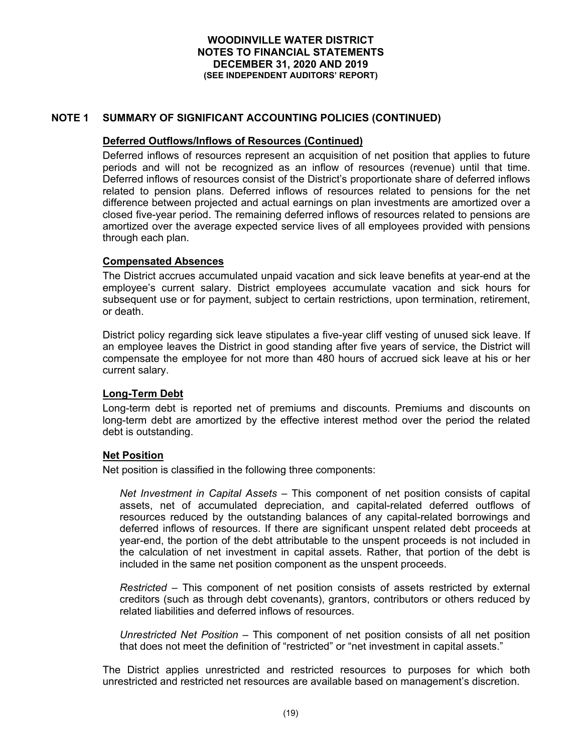## **NOTE 1 SUMMARY OF SIGNIFICANT ACCOUNTING POLICIES (CONTINUED)**

## **Deferred Outflows/Inflows of Resources (Continued)**

Deferred inflows of resources represent an acquisition of net position that applies to future periods and will not be recognized as an inflow of resources (revenue) until that time. Deferred inflows of resources consist of the District's proportionate share of deferred inflows related to pension plans. Deferred inflows of resources related to pensions for the net difference between projected and actual earnings on plan investments are amortized over a closed five-year period. The remaining deferred inflows of resources related to pensions are amortized over the average expected service lives of all employees provided with pensions through each plan.

## **Compensated Absences**

The District accrues accumulated unpaid vacation and sick leave benefits at year-end at the employee's current salary. District employees accumulate vacation and sick hours for subsequent use or for payment, subject to certain restrictions, upon termination, retirement, or death.

District policy regarding sick leave stipulates a five-year cliff vesting of unused sick leave. If an employee leaves the District in good standing after five years of service, the District will compensate the employee for not more than 480 hours of accrued sick leave at his or her current salary.

## **Long-Term Debt**

Long-term debt is reported net of premiums and discounts. Premiums and discounts on long-term debt are amortized by the effective interest method over the period the related debt is outstanding.

## **Net Position**

Net position is classified in the following three components:

*Net Investment in Capital Assets –* This component of net position consists of capital assets, net of accumulated depreciation, and capital-related deferred outflows of resources reduced by the outstanding balances of any capital-related borrowings and deferred inflows of resources. If there are significant unspent related debt proceeds at year-end, the portion of the debt attributable to the unspent proceeds is not included in the calculation of net investment in capital assets. Rather, that portion of the debt is included in the same net position component as the unspent proceeds.

*Restricted –* This component of net position consists of assets restricted by external creditors (such as through debt covenants), grantors, contributors or others reduced by related liabilities and deferred inflows of resources.

*Unrestricted Net Position –* This component of net position consists of all net position that does not meet the definition of "restricted" or "net investment in capital assets."

The District applies unrestricted and restricted resources to purposes for which both unrestricted and restricted net resources are available based on management's discretion.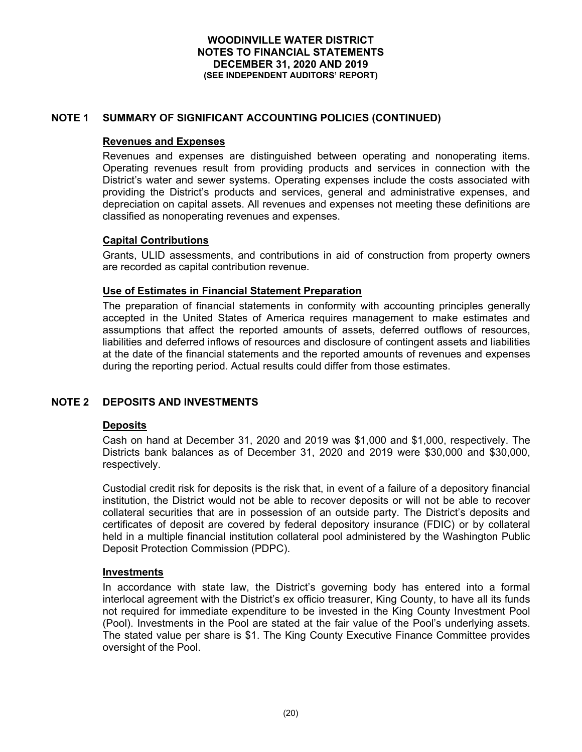## **NOTE 1 SUMMARY OF SIGNIFICANT ACCOUNTING POLICIES (CONTINUED)**

#### **Revenues and Expenses**

Revenues and expenses are distinguished between operating and nonoperating items. Operating revenues result from providing products and services in connection with the District's water and sewer systems. Operating expenses include the costs associated with providing the District's products and services, general and administrative expenses, and depreciation on capital assets. All revenues and expenses not meeting these definitions are classified as nonoperating revenues and expenses.

## **Capital Contributions**

Grants, ULID assessments, and contributions in aid of construction from property owners are recorded as capital contribution revenue.

## **Use of Estimates in Financial Statement Preparation**

The preparation of financial statements in conformity with accounting principles generally accepted in the United States of America requires management to make estimates and assumptions that affect the reported amounts of assets, deferred outflows of resources, liabilities and deferred inflows of resources and disclosure of contingent assets and liabilities at the date of the financial statements and the reported amounts of revenues and expenses during the reporting period. Actual results could differ from those estimates.

## **NOTE 2 DEPOSITS AND INVESTMENTS**

## **Deposits**

Cash on hand at December 31, 2020 and 2019 was \$1,000 and \$1,000, respectively. The Districts bank balances as of December 31, 2020 and 2019 were \$30,000 and \$30,000, respectively.

Custodial credit risk for deposits is the risk that, in event of a failure of a depository financial institution, the District would not be able to recover deposits or will not be able to recover collateral securities that are in possession of an outside party. The District's deposits and certificates of deposit are covered by federal depository insurance (FDIC) or by collateral held in a multiple financial institution collateral pool administered by the Washington Public Deposit Protection Commission (PDPC).

## **Investments**

In accordance with state law, the District's governing body has entered into a formal interlocal agreement with the District's ex officio treasurer, King County, to have all its funds not required for immediate expenditure to be invested in the King County Investment Pool (Pool). Investments in the Pool are stated at the fair value of the Pool's underlying assets. The stated value per share is \$1. The King County Executive Finance Committee provides oversight of the Pool.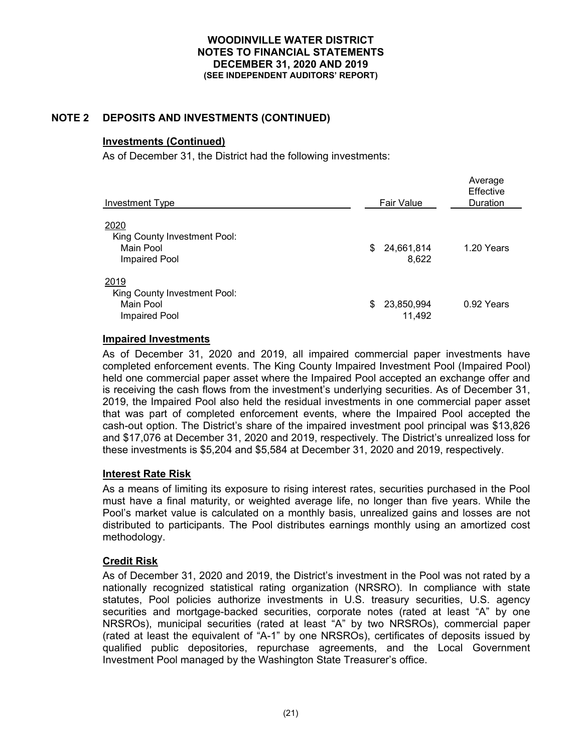## **NOTE 2 DEPOSITS AND INVESTMENTS (CONTINUED)**

#### **Investments (Continued)**

As of December 31, the District had the following investments:

| Investment Type                                                           | Fair Value                  | Average<br>Effective<br>Duration |
|---------------------------------------------------------------------------|-----------------------------|----------------------------------|
| 2020<br>King County Investment Pool:<br>Main Pool<br><b>Impaired Pool</b> | 24,661,814<br>\$<br>8,622   | 1.20 Years                       |
| 2019<br>King County Investment Pool:<br>Main Pool<br>Impaired Pool        | 23,850,994<br>\$.<br>11,492 | 0.92 Years                       |

## **Impaired Investments**

As of December 31, 2020 and 2019, all impaired commercial paper investments have completed enforcement events. The King County Impaired Investment Pool (Impaired Pool) held one commercial paper asset where the Impaired Pool accepted an exchange offer and is receiving the cash flows from the investment's underlying securities. As of December 31, 2019, the Impaired Pool also held the residual investments in one commercial paper asset that was part of completed enforcement events, where the Impaired Pool accepted the cash-out option. The District's share of the impaired investment pool principal was \$13,826 and \$17,076 at December 31, 2020 and 2019, respectively. The District's unrealized loss for these investments is \$5,204 and \$5,584 at December 31, 2020 and 2019, respectively.

## **Interest Rate Risk**

As a means of limiting its exposure to rising interest rates, securities purchased in the Pool must have a final maturity, or weighted average life, no longer than five years. While the Pool's market value is calculated on a monthly basis, unrealized gains and losses are not distributed to participants. The Pool distributes earnings monthly using an amortized cost methodology.

## **Credit Risk**

As of December 31, 2020 and 2019, the District's investment in the Pool was not rated by a nationally recognized statistical rating organization (NRSRO). In compliance with state statutes, Pool policies authorize investments in U.S. treasury securities, U.S. agency securities and mortgage-backed securities, corporate notes (rated at least "A" by one NRSROs), municipal securities (rated at least "A" by two NRSROs), commercial paper (rated at least the equivalent of "A-1" by one NRSROs), certificates of deposits issued by qualified public depositories, repurchase agreements, and the Local Government Investment Pool managed by the Washington State Treasurer's office.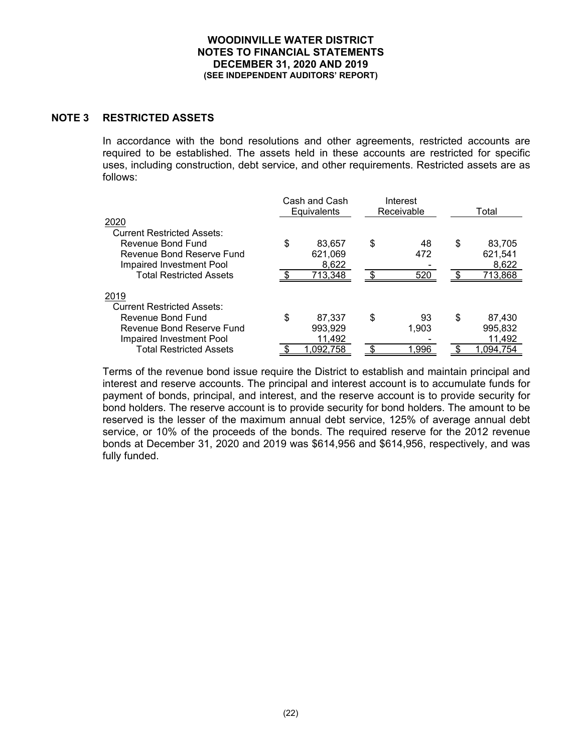#### **NOTE 3 RESTRICTED ASSETS**

In accordance with the bond resolutions and other agreements, restricted accounts are required to be established. The assets held in these accounts are restricted for specific uses, including construction, debt service, and other requirements. Restricted assets are as follows:

|                                                                            | Cash and Cash<br>Equivalents |                             | Interest<br>Receivable |             | Total |                             |
|----------------------------------------------------------------------------|------------------------------|-----------------------------|------------------------|-------------|-------|-----------------------------|
| 2020<br><b>Current Restricted Assets:</b>                                  |                              |                             |                        |             |       |                             |
| Revenue Bond Fund<br>Revenue Bond Reserve Fund<br>Impaired Investment Pool | \$                           | 83,657<br>621,069<br>8,622  | \$                     | 48<br>472   | S     | 83,705<br>621,541<br>8,622  |
| <b>Total Restricted Assets</b>                                             |                              | 713,348                     | ¢                      | 520         |       | 713,868                     |
| 2019<br>Current Restricted Assets:                                         |                              |                             |                        |             |       |                             |
| Revenue Bond Fund<br>Revenue Bond Reserve Fund<br>Impaired Investment Pool | \$                           | 87,337<br>993,929<br>11,492 | \$                     | 93<br>1.903 | \$    | 87,430<br>995,832<br>11,492 |
| <b>Total Restricted Assets</b>                                             |                              | .092,758                    |                        | 1.996       |       | .094.754                    |

Terms of the revenue bond issue require the District to establish and maintain principal and interest and reserve accounts. The principal and interest account is to accumulate funds for payment of bonds, principal, and interest, and the reserve account is to provide security for bond holders. The reserve account is to provide security for bond holders. The amount to be reserved is the lesser of the maximum annual debt service, 125% of average annual debt service, or 10% of the proceeds of the bonds. The required reserve for the 2012 revenue bonds at December 31, 2020 and 2019 was \$614,956 and \$614,956, respectively, and was fully funded.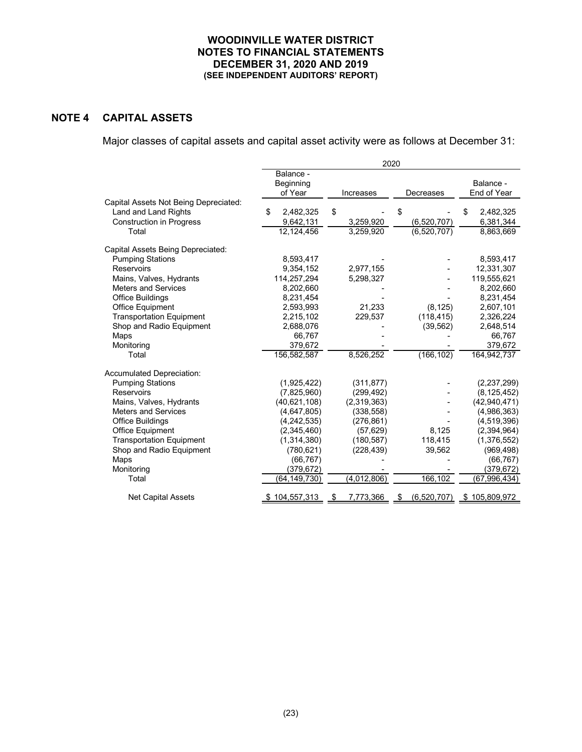## **NOTE 4 CAPITAL ASSETS**

Major classes of capital assets and capital asset activity were as follows at December 31:

|                                       |                                   |                 | 2020              |                          |
|---------------------------------------|-----------------------------------|-----------------|-------------------|--------------------------|
|                                       | Balance -<br>Beginning<br>of Year | Increases       | Decreases         | Balance -<br>End of Year |
| Capital Assets Not Being Depreciated: |                                   |                 |                   |                          |
| Land and Land Rights                  | \$<br>2,482,325                   | \$              | \$                | 2,482,325<br>\$          |
| <b>Construction in Progress</b>       | 9,642,131                         | 3,259,920       | (6, 520, 707)     | 6,381,344                |
| Total                                 | 12,124,456                        | 3,259,920       | (6,520,707)       | 8,863,669                |
| Capital Assets Being Depreciated:     |                                   |                 |                   |                          |
| <b>Pumping Stations</b>               | 8,593,417                         |                 |                   | 8,593,417                |
| <b>Reservoirs</b>                     | 9,354,152                         | 2,977,155       |                   | 12,331,307               |
| Mains, Valves, Hydrants               | 114,257,294                       | 5,298,327       |                   | 119,555,621              |
| Meters and Services                   | 8,202,660                         |                 |                   | 8,202,660                |
| <b>Office Buildings</b>               | 8,231,454                         |                 |                   | 8,231,454                |
| <b>Office Equipment</b>               | 2,593,993                         | 21,233          | (8, 125)          | 2,607,101                |
| <b>Transportation Equipment</b>       | 2,215,102                         | 229,537         | (118, 415)        | 2,326,224                |
| Shop and Radio Equipment              | 2,688,076                         |                 | (39, 562)         | 2,648,514                |
| Maps                                  | 66,767                            |                 |                   | 66,767                   |
| Monitoring                            | 379,672                           |                 |                   | 379,672                  |
| Total                                 | 156,582,587                       | 8,526,252       | (166, 102)        | 164,942,737              |
| Accumulated Depreciation:             |                                   |                 |                   |                          |
| <b>Pumping Stations</b>               | (1,925,422)                       | (311, 877)      |                   | (2,237,299)              |
| Reservoirs                            | (7,825,960)                       | (299, 492)      |                   | (8, 125, 452)            |
| Mains, Valves, Hydrants               | (40,621,108)                      | (2,319,363)     |                   | (42, 940, 471)           |
| <b>Meters and Services</b>            | (4,647,805)                       | (338, 558)      |                   | (4,986,363)              |
| <b>Office Buildings</b>               | (4,242,535)                       | (276, 861)      |                   | (4, 519, 396)            |
| Office Equipment                      | (2,345,460)                       | (57, 629)       | 8,125             | (2,394,964)              |
| <b>Transportation Equipment</b>       | (1,314,380)                       | (180, 587)      | 118,415           | (1,376,552)              |
| Shop and Radio Equipment              | (780, 621)                        | (228, 439)      | 39,562            | (969, 498)               |
| Maps                                  | (66, 767)                         |                 |                   | (66, 767)                |
| Monitoring                            | (379,672)                         |                 |                   | (379, 672)               |
| Total                                 | (64,149,730)                      | (4,012,806)     | 166,102           | (67,996,434)             |
| <b>Net Capital Assets</b>             | \$104,557,313                     | 7,773,366<br>æ. | (6,520,707)<br>\$ | \$105,809,972            |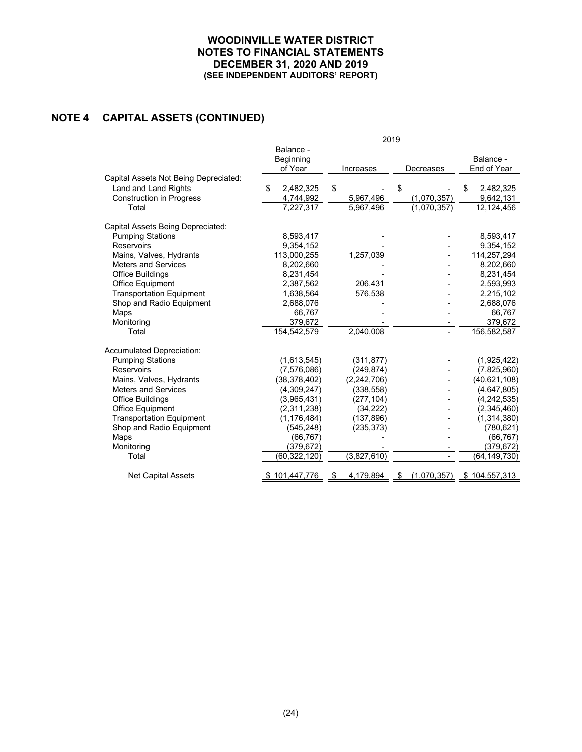## **NOTE 4 CAPITAL ASSETS (CONTINUED)**

|                                                               |                                   |                 | 2019 |             |                          |
|---------------------------------------------------------------|-----------------------------------|-----------------|------|-------------|--------------------------|
|                                                               | Balance -<br>Beginning<br>of Year | Increases       |      | Decreases   | Balance -<br>End of Year |
|                                                               |                                   |                 |      |             |                          |
| Capital Assets Not Being Depreciated:<br>Land and Land Rights | \$<br>2,482,325                   | \$              | \$   |             | \$<br>2,482,325          |
|                                                               |                                   |                 |      | (1,070,357) |                          |
| <b>Construction in Progress</b><br>Total                      | 4,744,992                         | 5,967,496       |      |             | 9,642,131                |
|                                                               | 7,227,317                         | 5,967,496       |      | (1,070,357) | 12,124,456               |
| Capital Assets Being Depreciated:                             |                                   |                 |      |             |                          |
| <b>Pumping Stations</b>                                       | 8,593,417                         |                 |      |             | 8,593,417                |
| Reservoirs                                                    | 9,354,152                         |                 |      |             | 9,354,152                |
| Mains, Valves, Hydrants                                       | 113,000,255                       | 1,257,039       |      |             | 114,257,294              |
| <b>Meters and Services</b>                                    | 8,202,660                         |                 |      |             | 8,202,660                |
| <b>Office Buildings</b>                                       | 8,231,454                         |                 |      |             | 8,231,454                |
| <b>Office Equipment</b>                                       | 2,387,562                         | 206,431         |      |             | 2,593,993                |
| <b>Transportation Equipment</b>                               | 1,638,564                         | 576,538         |      |             | 2,215,102                |
| Shop and Radio Equipment                                      | 2,688,076                         |                 |      |             | 2,688,076                |
| Maps                                                          | 66,767                            |                 |      |             | 66,767                   |
| Monitoring                                                    | 379,672                           |                 |      |             | 379,672                  |
| Total                                                         | 154,542,579                       | 2,040,008       |      |             | 156,582,587              |
| Accumulated Depreciation:                                     |                                   |                 |      |             |                          |
| <b>Pumping Stations</b>                                       | (1,613,545)                       | (311, 877)      |      |             | (1,925,422)              |
| Reservoirs                                                    | (7, 576, 086)                     | (249, 874)      |      |             | (7,825,960)              |
| Mains, Valves, Hydrants                                       | (38, 378, 402)                    | (2,242,706)     |      |             | (40,621,108)             |
| <b>Meters and Services</b>                                    | (4,309,247)                       | (338, 558)      |      |             | (4,647,805)              |
| <b>Office Buildings</b>                                       | (3,965,431)                       | (277, 104)      |      |             | (4,242,535)              |
| Office Equipment                                              | (2,311,238)                       | (34, 222)       |      |             | (2,345,460)              |
| <b>Transportation Equipment</b>                               | (1, 176, 484)                     | (137, 896)      |      |             | (1,314,380)              |
| Shop and Radio Equipment                                      | (545, 248)                        | (235, 373)      |      |             | (780, 621)               |
| Maps                                                          | (66, 767)                         |                 |      |             | (66, 767)                |
| Monitoring                                                    | (379, 672)                        |                 |      |             | (379, 672)               |
| Total                                                         | (60, 322, 120)                    | (3,827,610)     |      |             | (64,149,730)             |
| <b>Net Capital Assets</b>                                     | \$101,447,776                     | \$<br>4,179,894 | \$   | (1,070,357) | \$104,557,313            |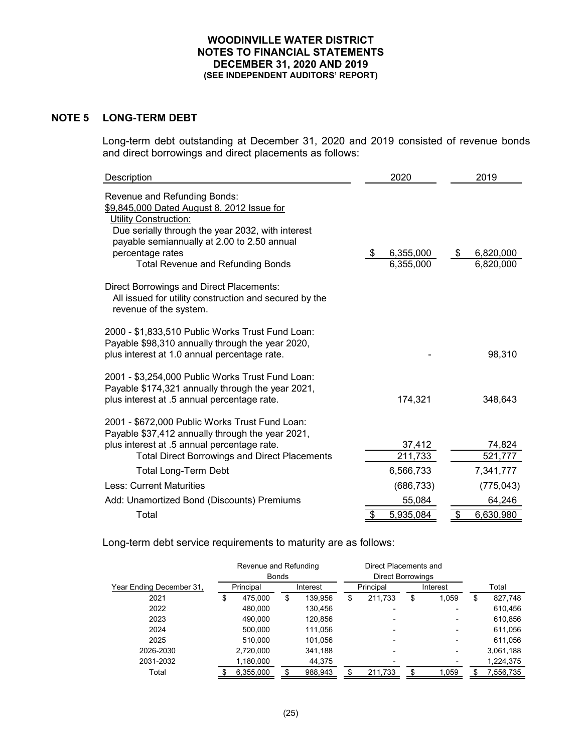## **NOTE 5 LONG-TERM DEBT**

Long-term debt outstanding at December 31, 2020 and 2019 consisted of revenue bonds and direct borrowings and direct placements as follows:

| 2020                         | 2019                                                      |
|------------------------------|-----------------------------------------------------------|
| \$<br>6,355,000<br>6,355,000 | \$<br>6,820,000<br>6,820,000                              |
|                              |                                                           |
|                              | 98,310                                                    |
| 174,321                      | 348,643                                                   |
| 37,412                       | 74,824<br>521,777                                         |
|                              | 7,341,777                                                 |
|                              | (775, 043)                                                |
|                              | 64,246                                                    |
| \$                           | \$<br>6,630,980                                           |
|                              | 211,733<br>6,566,733<br>(686, 733)<br>55,084<br>5,935,084 |

Long-term debt service requirements to maturity are as follows:

|                          | Revenue and Refunding |           | Direct Placements and |          |   |                          |    |                          |    |           |
|--------------------------|-----------------------|-----------|-----------------------|----------|---|--------------------------|----|--------------------------|----|-----------|
|                          |                       |           | <b>Bonds</b>          |          |   | <b>Direct Borrowings</b> |    |                          |    |           |
| Year Ending December 31, |                       | Principal |                       | Interest |   | Principal                |    | Interest                 |    | Total     |
| 2021                     | S                     | 475.000   | \$                    | 139.956  | S | 211.733                  | \$ | 1,059                    | \$ | 827,748   |
| 2022                     |                       | 480.000   |                       | 130.456  |   |                          |    |                          |    | 610,456   |
| 2023                     |                       | 490.000   |                       | 120,856  |   |                          |    | ٠                        |    | 610,856   |
| 2024                     |                       | 500,000   |                       | 111,056  |   |                          |    | $\overline{\phantom{0}}$ |    | 611,056   |
| 2025                     |                       | 510.000   |                       | 101.056  |   |                          |    | ٠                        |    | 611,056   |
| 2026-2030                |                       | 2,720,000 |                       | 341,188  |   |                          |    | $\overline{\phantom{0}}$ |    | 3,061,188 |
| 2031-2032                |                       | 1,180,000 |                       | 44,375   |   |                          |    |                          |    | 1,224,375 |
| Total                    |                       | 6,355,000 |                       | 988.943  |   | 211,733                  |    | 1,059                    |    | 7,556,735 |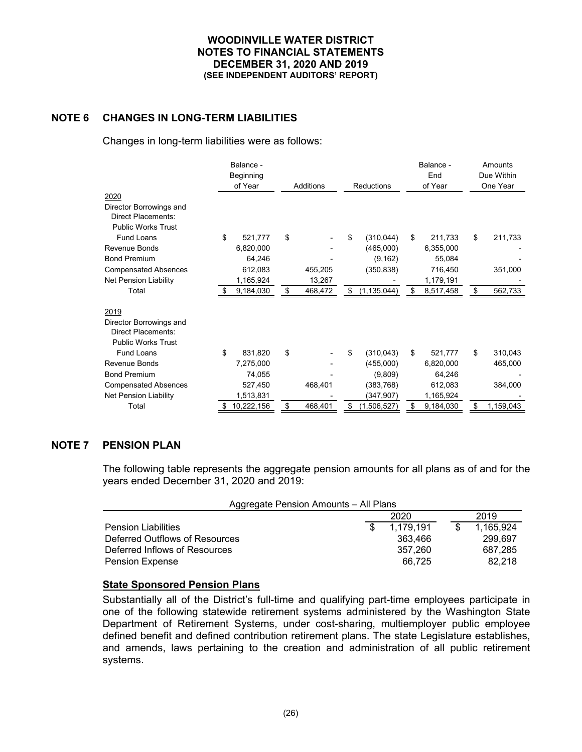## **NOTE 6 CHANGES IN LONG-TERM LIABILITIES**

Changes in long-term liabilities were as follows:

|                                                |    | Balance -<br>Beginning<br>of Year | Additions     | Reductions        | Balance -<br>End<br>of Year | Amounts<br>Due Within<br>One Year |
|------------------------------------------------|----|-----------------------------------|---------------|-------------------|-----------------------------|-----------------------------------|
| 2020                                           |    |                                   |               |                   |                             |                                   |
| Director Borrowings and                        |    |                                   |               |                   |                             |                                   |
| Direct Placements:                             |    |                                   |               |                   |                             |                                   |
| <b>Public Works Trust</b><br><b>Fund Loans</b> | \$ | 521,777                           | \$            | \$<br>(310, 044)  | \$<br>211,733               | \$<br>211,733                     |
| <b>Revenue Bonds</b>                           |    | 6,820,000                         |               | (465,000)         | 6,355,000                   |                                   |
| <b>Bond Premium</b>                            |    | 64,246                            |               | (9, 162)          | 55,084                      |                                   |
| <b>Compensated Absences</b>                    |    | 612,083                           | 455,205       | (350, 838)        | 716,450                     | 351,000                           |
|                                                |    |                                   |               |                   |                             |                                   |
| Net Pension Liability                          |    | 1,165,924                         | 13,267        |                   | 1,179,191                   |                                   |
| Total                                          | S  | 9,184,030                         | \$<br>468,472 | (1, 135, 044)     | \$<br>8,517,458             | \$<br>562,733                     |
| 2019                                           |    |                                   |               |                   |                             |                                   |
| Director Borrowings and                        |    |                                   |               |                   |                             |                                   |
| Direct Placements:                             |    |                                   |               |                   |                             |                                   |
| <b>Public Works Trust</b>                      |    |                                   |               |                   |                             |                                   |
| <b>Fund Loans</b>                              | \$ | 831,820                           | \$            | \$<br>(310, 043)  | \$<br>521,777               | \$<br>310,043                     |
| <b>Revenue Bonds</b>                           |    | 7,275,000                         |               | (455,000)         | 6,820,000                   | 465,000                           |
| <b>Bond Premium</b>                            |    | 74,055                            |               | (9,809)           | 64,246                      |                                   |
| <b>Compensated Absences</b>                    |    | 527,450                           | 468,401       | (383,768)         | 612,083                     | 384,000                           |
| Net Pension Liability                          |    | 1,513,831                         |               | (347,907)         | 1,165,924                   |                                   |
| Total                                          | \$ | 10,222,156                        | \$<br>468,401 | \$<br>(1,506,527) | \$<br>9,184,030             | \$<br>1,159,043                   |

## **NOTE 7 PENSION PLAN**

The following table represents the aggregate pension amounts for all plans as of and for the years ended December 31, 2020 and 2019:

| Aggregate Pension Amounts - All Plans |              |           |  |           |  |  |  |
|---------------------------------------|--------------|-----------|--|-----------|--|--|--|
|                                       | 2020<br>2019 |           |  |           |  |  |  |
| <b>Pension Liabilities</b>            |              | 1,179,191 |  | 1,165,924 |  |  |  |
| Deferred Outflows of Resources        |              | 363.466   |  | 299.697   |  |  |  |
| Deferred Inflows of Resources         |              | 357.260   |  | 687.285   |  |  |  |
| <b>Pension Expense</b>                |              | 66.725    |  | 82.218    |  |  |  |

## **State Sponsored Pension Plans**

Substantially all of the District's full-time and qualifying part-time employees participate in one of the following statewide retirement systems administered by the Washington State Department of Retirement Systems, under cost-sharing, multiemployer public employee defined benefit and defined contribution retirement plans. The state Legislature establishes, and amends, laws pertaining to the creation and administration of all public retirement systems.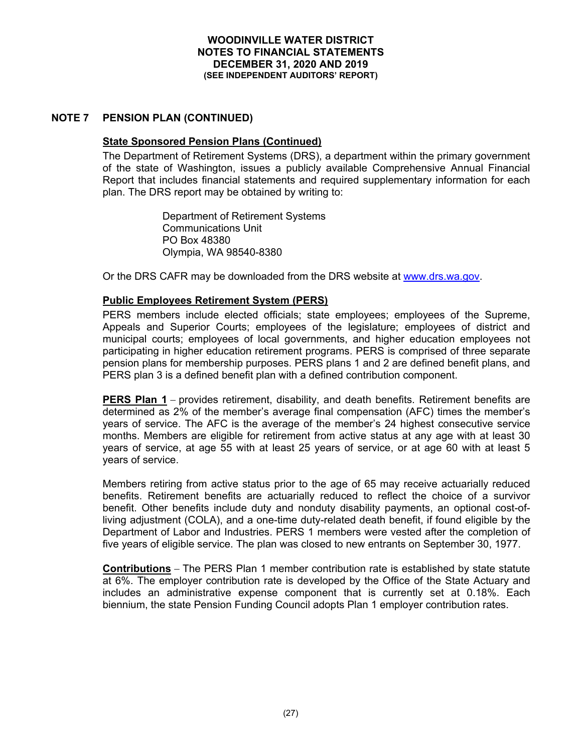## **NOTE 7 PENSION PLAN (CONTINUED)**

## **State Sponsored Pension Plans (Continued)**

The Department of Retirement Systems (DRS), a department within the primary government of the state of Washington, issues a publicly available Comprehensive Annual Financial Report that includes financial statements and required supplementary information for each plan. The DRS report may be obtained by writing to:

> Department of Retirement Systems Communications Unit PO Box 48380 Olympia, WA 98540-8380

Or the DRS CAFR may be downloaded from the DRS website at www.drs.wa.gov.

## **Public Employees Retirement System (PERS)**

PERS members include elected officials; state employees; employees of the Supreme, Appeals and Superior Courts; employees of the legislature; employees of district and municipal courts; employees of local governments, and higher education employees not participating in higher education retirement programs. PERS is comprised of three separate pension plans for membership purposes. PERS plans 1 and 2 are defined benefit plans, and PERS plan 3 is a defined benefit plan with a defined contribution component.

**PERS Plan 1** – provides retirement, disability, and death benefits. Retirement benefits are determined as 2% of the member's average final compensation (AFC) times the member's years of service. The AFC is the average of the member's 24 highest consecutive service months. Members are eligible for retirement from active status at any age with at least 30 years of service, at age 55 with at least 25 years of service, or at age 60 with at least 5 years of service.

Members retiring from active status prior to the age of 65 may receive actuarially reduced benefits. Retirement benefits are actuarially reduced to reflect the choice of a survivor benefit. Other benefits include duty and nonduty disability payments, an optional cost-ofliving adjustment (COLA), and a one-time duty-related death benefit, if found eligible by the Department of Labor and Industries. PERS 1 members were vested after the completion of five years of eligible service. The plan was closed to new entrants on September 30, 1977.

**Contributions** – The PERS Plan 1 member contribution rate is established by state statute at 6%. The employer contribution rate is developed by the Office of the State Actuary and includes an administrative expense component that is currently set at 0.18%. Each biennium, the state Pension Funding Council adopts Plan 1 employer contribution rates.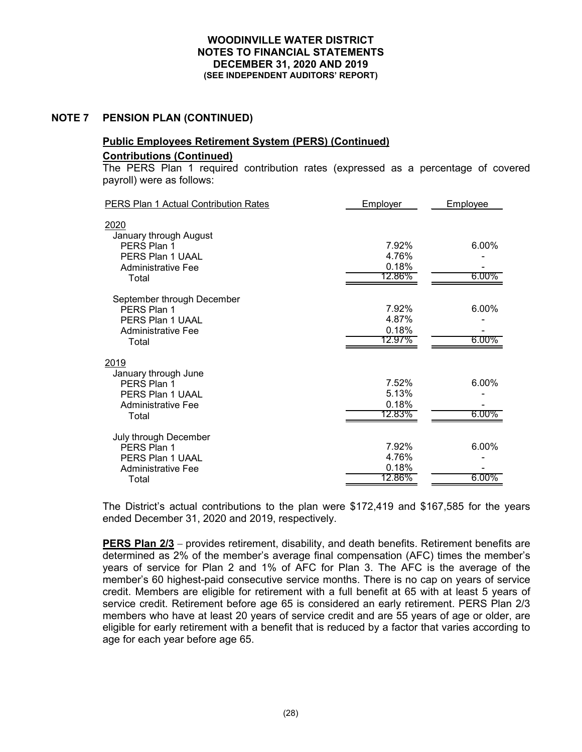## **NOTE 7 PENSION PLAN (CONTINUED)**

# **Public Employees Retirement System (PERS) (Continued)**

## **Contributions (Continued)**

The PERS Plan 1 required contribution rates (expressed as a percentage of covered payroll) were as follows:

| <b>PERS Plan 1 Actual Contribution Rates</b>  | Employer        | Employee |
|-----------------------------------------------|-----------------|----------|
| 2020                                          |                 |          |
| January through August<br>PERS Plan 1         | 7.92%           | 6.00%    |
| PERS Plan 1 UAAL                              | 4.76%           |          |
| Administrative Fee                            | 0.18%<br>12.86% | $6.00\%$ |
| Total                                         |                 |          |
| September through December                    |                 |          |
| PFRS Plan 1                                   | 7.92%           | 6.00%    |
| PERS Plan 1 UAAL<br><b>Administrative Fee</b> | 4.87%<br>0.18%  |          |
| Total                                         | 12.97%          | $6.00\%$ |
|                                               |                 |          |
| 2019                                          |                 |          |
| January through June<br>PERS Plan 1           | 7.52%           | 6.00%    |
| PERS Plan 1 UAAL                              | 5.13%           |          |
| <b>Administrative Fee</b>                     | 0.18%           |          |
| Total                                         | 12.83%          | $6.00\%$ |
| July through December                         |                 |          |
| PERS Plan 1                                   | 7.92%           | 6.00%    |
| PERS Plan 1 UAAL                              | 4.76%           |          |
| <b>Administrative Fee</b>                     | 0.18%<br>12.86% |          |
| Total                                         |                 | $6.00\%$ |

The District's actual contributions to the plan were \$172,419 and \$167,585 for the years ended December 31, 2020 and 2019, respectively.

**PERS Plan 2/3** – provides retirement, disability, and death benefits. Retirement benefits are determined as 2% of the member's average final compensation (AFC) times the member's years of service for Plan 2 and 1% of AFC for Plan 3. The AFC is the average of the member's 60 highest-paid consecutive service months. There is no cap on years of service credit. Members are eligible for retirement with a full benefit at 65 with at least 5 years of service credit. Retirement before age 65 is considered an early retirement. PERS Plan 2/3 members who have at least 20 years of service credit and are 55 years of age or older, are eligible for early retirement with a benefit that is reduced by a factor that varies according to age for each year before age 65.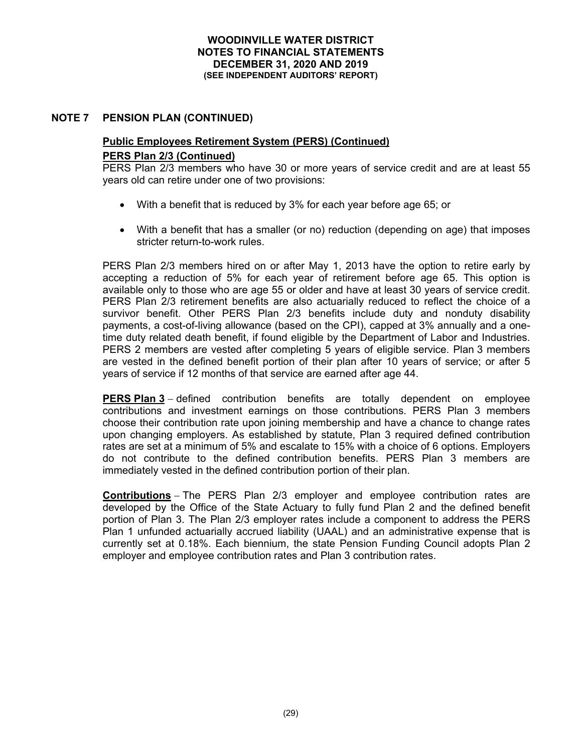## **NOTE 7 PENSION PLAN (CONTINUED)**

## **Public Employees Retirement System (PERS) (Continued) PERS Plan 2/3 (Continued)**

PERS Plan 2/3 members who have 30 or more years of service credit and are at least 55 years old can retire under one of two provisions:

- With a benefit that is reduced by 3% for each year before age 65; or
- With a benefit that has a smaller (or no) reduction (depending on age) that imposes stricter return-to-work rules.

PERS Plan 2/3 members hired on or after May 1, 2013 have the option to retire early by accepting a reduction of 5% for each year of retirement before age 65. This option is available only to those who are age 55 or older and have at least 30 years of service credit. PERS Plan 2/3 retirement benefits are also actuarially reduced to reflect the choice of a survivor benefit. Other PERS Plan 2/3 benefits include duty and nonduty disability payments, a cost-of-living allowance (based on the CPI), capped at 3% annually and a onetime duty related death benefit, if found eligible by the Department of Labor and Industries. PERS 2 members are vested after completing 5 years of eligible service. Plan 3 members are vested in the defined benefit portion of their plan after 10 years of service; or after 5 years of service if 12 months of that service are earned after age 44.

**PERS Plan 3** – defined contribution benefits are totally dependent on employee contributions and investment earnings on those contributions. PERS Plan 3 members choose their contribution rate upon joining membership and have a chance to change rates upon changing employers. As established by statute, Plan 3 required defined contribution rates are set at a minimum of 5% and escalate to 15% with a choice of 6 options. Employers do not contribute to the defined contribution benefits. PERS Plan 3 members are immediately vested in the defined contribution portion of their plan.

**Contributions** The PERS Plan 2/3 employer and employee contribution rates are developed by the Office of the State Actuary to fully fund Plan 2 and the defined benefit portion of Plan 3. The Plan 2/3 employer rates include a component to address the PERS Plan 1 unfunded actuarially accrued liability (UAAL) and an administrative expense that is currently set at 0.18%. Each biennium, the state Pension Funding Council adopts Plan 2 employer and employee contribution rates and Plan 3 contribution rates.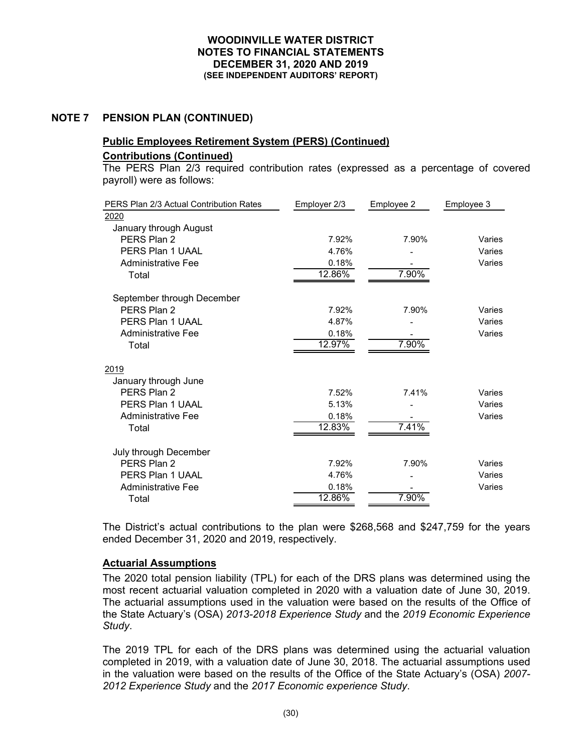## **NOTE 7 PENSION PLAN (CONTINUED)**

## **Public Employees Retirement System (PERS) (Continued)**

## **Contributions (Continued)**

The PERS Plan 2/3 required contribution rates (expressed as a percentage of covered payroll) were as follows:

| PERS Plan 2/3 Actual Contribution Rates | Employer 2/3 | Employee 2 | Employee 3 |
|-----------------------------------------|--------------|------------|------------|
| 2020                                    |              |            |            |
| January through August                  |              |            |            |
| PERS Plan 2                             | 7.92%        | 7.90%      | Varies     |
| PERS Plan 1 UAAL                        | 4.76%        |            | Varies     |
| Administrative Fee                      | 0.18%        |            | Varies     |
| Total                                   | 12.86%       | 7.90%      |            |
| September through December              |              |            |            |
| PERS Plan 2                             | 7.92%        | 7.90%      | Varies     |
| PERS Plan 1 UAAL                        | 4.87%        |            | Varies     |
| <b>Administrative Fee</b>               | 0.18%        |            | Varies     |
| Total                                   | 12.97%       | 7.90%      |            |
| 2019                                    |              |            |            |
| January through June                    |              |            |            |
| PERS Plan 2                             | 7.52%        | 7.41%      | Varies     |
| PERS Plan 1 UAAL                        | 5.13%        |            | Varies     |
| <b>Administrative Fee</b>               | 0.18%        |            | Varies     |
| Total                                   | 12.83%       | 7.41%      |            |
| July through December                   |              |            |            |
| PERS Plan 2                             | 7.92%        | 7.90%      | Varies     |
| PERS Plan 1 UAAL                        | 4.76%        |            | Varies     |
| <b>Administrative Fee</b>               | 0.18%        |            | Varies     |
| Total                                   | 12.86%       | 7.90%      |            |

The District's actual contributions to the plan were \$268,568 and \$247,759 for the years ended December 31, 2020 and 2019, respectively.

## **Actuarial Assumptions**

The 2020 total pension liability (TPL) for each of the DRS plans was determined using the most recent actuarial valuation completed in 2020 with a valuation date of June 30, 2019. The actuarial assumptions used in the valuation were based on the results of the Office of the State Actuary's (OSA) *2013-2018 Experience Study* and the *2019 Economic Experience Study*.

The 2019 TPL for each of the DRS plans was determined using the actuarial valuation completed in 2019, with a valuation date of June 30, 2018. The actuarial assumptions used in the valuation were based on the results of the Office of the State Actuary's (OSA) *2007- 2012 Experience Study* and the *2017 Economic experience Study*.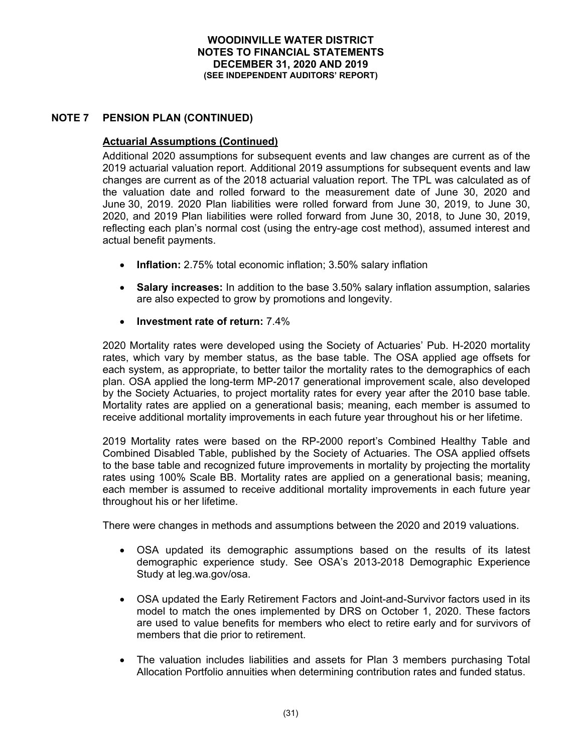## **NOTE 7 PENSION PLAN (CONTINUED)**

## **Actuarial Assumptions (Continued)**

Additional 2020 assumptions for subsequent events and law changes are current as of the 2019 actuarial valuation report. Additional 2019 assumptions for subsequent events and law changes are current as of the 2018 actuarial valuation report. The TPL was calculated as of the valuation date and rolled forward to the measurement date of June 30, 2020 and June 30, 2019. 2020 Plan liabilities were rolled forward from June 30, 2019, to June 30, 2020, and 2019 Plan liabilities were rolled forward from June 30, 2018, to June 30, 2019, reflecting each plan's normal cost (using the entry-age cost method), assumed interest and actual benefit payments.

- **Inflation:** 2.75% total economic inflation; 3.50% salary inflation
- **Salary increases:** In addition to the base 3.50% salary inflation assumption, salaries are also expected to grow by promotions and longevity.
- **Investment rate of return:** 7.4%

2020 Mortality rates were developed using the Society of Actuaries' Pub. H-2020 mortality rates, which vary by member status, as the base table. The OSA applied age offsets for each system, as appropriate, to better tailor the mortality rates to the demographics of each plan. OSA applied the long-term MP-2017 generational improvement scale, also developed by the Society Actuaries, to project mortality rates for every year after the 2010 base table. Mortality rates are applied on a generational basis; meaning, each member is assumed to receive additional mortality improvements in each future year throughout his or her lifetime.

2019 Mortality rates were based on the RP-2000 report's Combined Healthy Table and Combined Disabled Table, published by the Society of Actuaries. The OSA applied offsets to the base table and recognized future improvements in mortality by projecting the mortality rates using 100% Scale BB. Mortality rates are applied on a generational basis; meaning, each member is assumed to receive additional mortality improvements in each future year throughout his or her lifetime.

There were changes in methods and assumptions between the 2020 and 2019 valuations.

- OSA updated its demographic assumptions based on the results of its latest demographic experience study. See OSA's 2013-2018 Demographic Experience Study at leg.wa.gov/osa.
- OSA updated the Early Retirement Factors and Joint-and-Survivor factors used in its model to match the ones implemented by DRS on October 1, 2020. These factors are used to value benefits for members who elect to retire early and for survivors of members that die prior to retirement.
- The valuation includes liabilities and assets for Plan 3 members purchasing Total Allocation Portfolio annuities when determining contribution rates and funded status.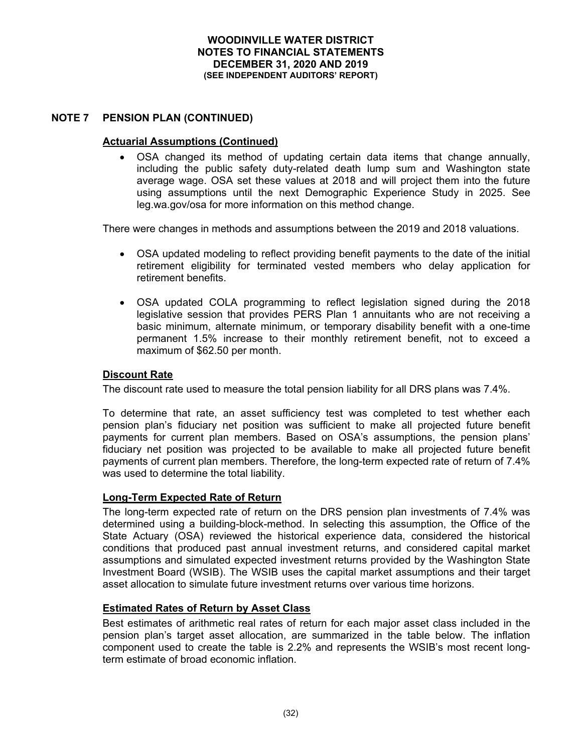## **NOTE 7 PENSION PLAN (CONTINUED)**

## **Actuarial Assumptions (Continued)**

 OSA changed its method of updating certain data items that change annually, including the public safety duty-related death lump sum and Washington state average wage. OSA set these values at 2018 and will project them into the future using assumptions until the next Demographic Experience Study in 2025. See leg.wa.gov/osa for more information on this method change.

There were changes in methods and assumptions between the 2019 and 2018 valuations.

- OSA updated modeling to reflect providing benefit payments to the date of the initial retirement eligibility for terminated vested members who delay application for retirement benefits.
- OSA updated COLA programming to reflect legislation signed during the 2018 legislative session that provides PERS Plan 1 annuitants who are not receiving a basic minimum, alternate minimum, or temporary disability benefit with a one-time permanent 1.5% increase to their monthly retirement benefit, not to exceed a maximum of \$62.50 per month.

## **Discount Rate**

The discount rate used to measure the total pension liability for all DRS plans was 7.4%.

To determine that rate, an asset sufficiency test was completed to test whether each pension plan's fiduciary net position was sufficient to make all projected future benefit payments for current plan members. Based on OSA's assumptions, the pension plans' fiduciary net position was projected to be available to make all projected future benefit payments of current plan members. Therefore, the long-term expected rate of return of 7.4% was used to determine the total liability.

## **Long-Term Expected Rate of Return**

The long-term expected rate of return on the DRS pension plan investments of 7.4% was determined using a building-block-method. In selecting this assumption, the Office of the State Actuary (OSA) reviewed the historical experience data, considered the historical conditions that produced past annual investment returns, and considered capital market assumptions and simulated expected investment returns provided by the Washington State Investment Board (WSIB). The WSIB uses the capital market assumptions and their target asset allocation to simulate future investment returns over various time horizons.

## **Estimated Rates of Return by Asset Class**

Best estimates of arithmetic real rates of return for each major asset class included in the pension plan's target asset allocation, are summarized in the table below. The inflation component used to create the table is 2.2% and represents the WSIB's most recent longterm estimate of broad economic inflation.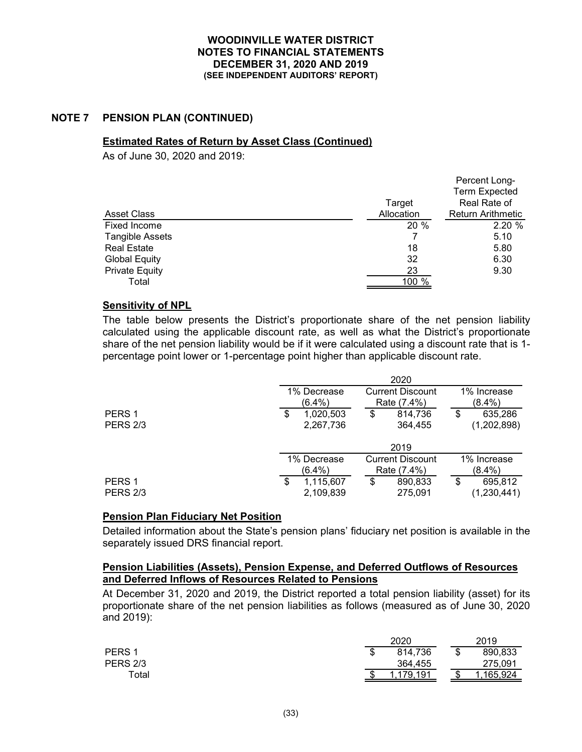## **NOTE 7 PENSION PLAN (CONTINUED)**

#### **Estimated Rates of Return by Asset Class (Continued)**

As of June 30, 2020 and 2019:

|                        |            | Percent Long-            |
|------------------------|------------|--------------------------|
|                        |            | <b>Term Expected</b>     |
|                        | Target     | Real Rate of             |
| <b>Asset Class</b>     | Allocation | <b>Return Arithmetic</b> |
| Fixed Income           | $20\%$     | 2.20 %                   |
| <b>Tangible Assets</b> |            | 5.10                     |
| <b>Real Estate</b>     | 18         | 5.80                     |
| <b>Global Equity</b>   | 32         | 6.30                     |
| <b>Private Equity</b>  | 23         | 9.30                     |
| Total                  | 100 %      |                          |

## **Sensitivity of NPL**

The table below presents the District's proportionate share of the net pension liability calculated using the applicable discount rate, as well as what the District's proportionate share of the net pension liability would be if it were calculated using a discount rate that is 1 percentage point lower or 1-percentage point higher than applicable discount rate.

|                   |                 |                         | 2020                    |               |
|-------------------|-----------------|-------------------------|-------------------------|---------------|
|                   | 1% Decrease     |                         | <b>Current Discount</b> | 1% Increase   |
|                   | $(6.4\%)$       |                         | Rate (7.4%)             | $(8.4\%)$     |
| PERS <sub>1</sub> | \$<br>1,020,503 | \$                      | 814,736                 | \$<br>635,286 |
| <b>PERS 2/3</b>   | 2,267,736       |                         | 364,455                 | (1,202,898)   |
|                   |                 |                         | 2019                    |               |
|                   | 1% Decrease     | <b>Current Discount</b> |                         | 1% Increase   |
|                   | $(6.4\%)$       |                         | Rate (7.4%)             | $(8.4\%)$     |
| PERS <sub>1</sub> | \$<br>1,115,607 | \$                      | 890,833                 | \$<br>695,812 |
| <b>PERS 2/3</b>   | 2,109,839       |                         | 275,091                 | (1,230,441)   |

## **Pension Plan Fiduciary Net Position**

Detailed information about the State's pension plans' fiduciary net position is available in the separately issued DRS financial report.

## **Pension Liabilities (Assets), Pension Expense, and Deferred Outflows of Resources and Deferred Inflows of Resources Related to Pensions**

At December 31, 2020 and 2019, the District reported a total pension liability (asset) for its proportionate share of the net pension liabilities as follows (measured as of June 30, 2020 and 2019):

|                   | 2020         |   | 2019     |
|-------------------|--------------|---|----------|
| PERS <sub>1</sub> | 814.736      | Œ | 890,833  |
| <b>PERS 2/3</b>   | 364.455      |   | 275,091  |
| $\tau$ otal       | 179.<br>.191 |   | .165.924 |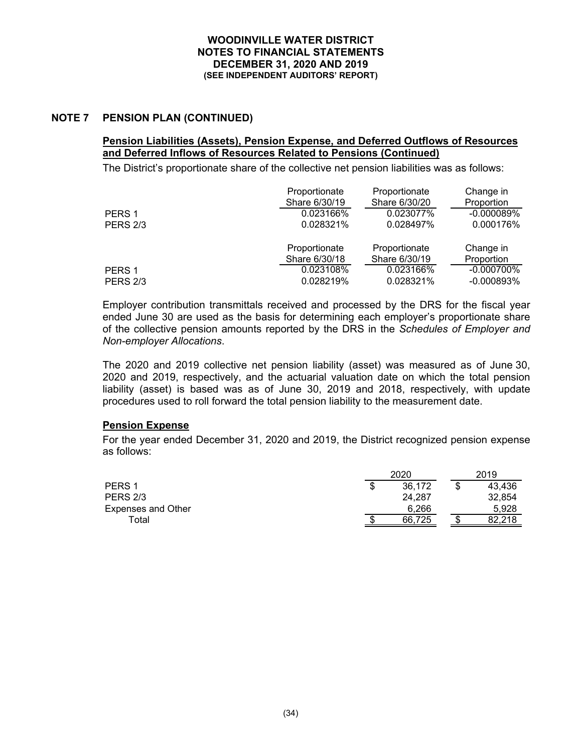## **NOTE 7 PENSION PLAN (CONTINUED)**

## **Pension Liabilities (Assets), Pension Expense, and Deferred Outflows of Resources and Deferred Inflows of Resources Related to Pensions (Continued)**

The District's proportionate share of the collective net pension liabilities was as follows:

|                   | Proportionate | Proportionate | Change in     |
|-------------------|---------------|---------------|---------------|
|                   | Share 6/30/19 | Share 6/30/20 | Proportion    |
| PERS <sub>1</sub> | 0.023166%     | 0.023077%     | $-0.000089%$  |
| <b>PERS 2/3</b>   | 0.028321%     | 0.028497%     | 0.000176%     |
|                   | Proportionate | Proportionate | Change in     |
|                   | Share 6/30/18 | Share 6/30/19 | Proportion    |
| PERS <sub>1</sub> | 0.023108%     | 0.023166%     | $-0.000700\%$ |
| <b>PERS 2/3</b>   | 0.028219%     | 0.028321%     | $-0.000893%$  |

Employer contribution transmittals received and processed by the DRS for the fiscal year ended June 30 are used as the basis for determining each employer's proportionate share of the collective pension amounts reported by the DRS in the *Schedules of Employer and Non-employer Allocations*.

The 2020 and 2019 collective net pension liability (asset) was measured as of June 30, 2020 and 2019, respectively, and the actuarial valuation date on which the total pension liability (asset) is based was as of June 30, 2019 and 2018, respectively, with update procedures used to roll forward the total pension liability to the measurement date.

## **Pension Expense**

For the year ended December 31, 2020 and 2019, the District recognized pension expense as follows:

|                    |   | 2020        |    | 2019   |
|--------------------|---|-------------|----|--------|
| PERS <sub>1</sub>  | S | 36,172      | ۰D | 43.436 |
| <b>PERS 2/3</b>    |   | 24.287      |    | 32,854 |
| Expenses and Other |   | 6.266       |    | 5.928  |
| Total              | Œ | 725<br>66,, |    |        |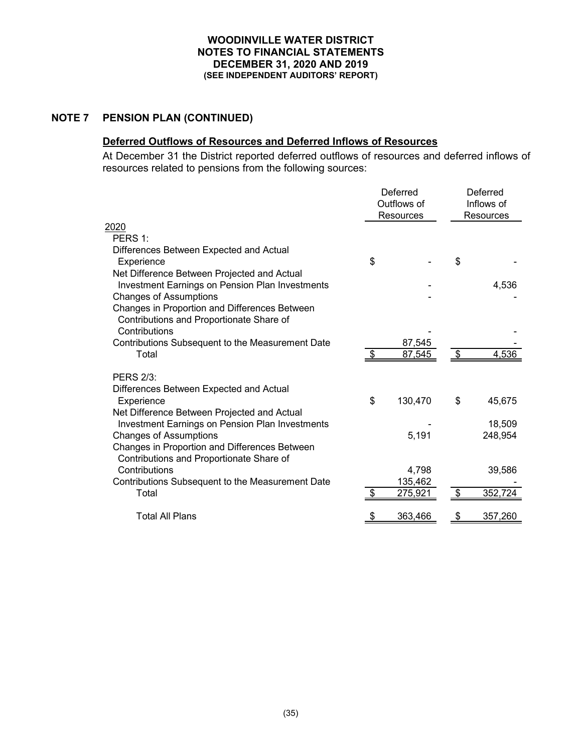## **NOTE 7 PENSION PLAN (CONTINUED)**

## **Deferred Outflows of Resources and Deferred Inflows of Resources**

At December 31 the District reported deferred outflows of resources and deferred inflows of resources related to pensions from the following sources:

|                                                           | Deferred<br>Outflows of<br>Resources | Deferred<br>Inflows of<br>Resources |         |  |
|-----------------------------------------------------------|--------------------------------------|-------------------------------------|---------|--|
| 2020                                                      |                                      |                                     |         |  |
| PERS 1:                                                   |                                      |                                     |         |  |
| Differences Between Expected and Actual                   |                                      |                                     |         |  |
| Experience                                                | \$                                   | \$                                  |         |  |
| Net Difference Between Projected and Actual               |                                      |                                     |         |  |
| <b>Investment Earnings on Pension Plan Investments</b>    |                                      |                                     | 4,536   |  |
| <b>Changes of Assumptions</b>                             |                                      |                                     |         |  |
| Changes in Proportion and Differences Between             |                                      |                                     |         |  |
| Contributions and Proportionate Share of                  |                                      |                                     |         |  |
| Contributions                                             |                                      |                                     |         |  |
| Contributions Subsequent to the Measurement Date          | 87,545                               |                                     |         |  |
| Total                                                     | 87,545                               |                                     | 4,536   |  |
|                                                           |                                      |                                     |         |  |
| <b>PERS 2/3:</b>                                          |                                      |                                     |         |  |
| Differences Between Expected and Actual                   |                                      |                                     |         |  |
| Experience                                                | \$<br>130,470                        | \$                                  | 45,675  |  |
| Net Difference Between Projected and Actual               |                                      |                                     |         |  |
| <b>Investment Earnings on Pension Plan Investments</b>    |                                      |                                     | 18,509  |  |
| <b>Changes of Assumptions</b>                             | 5,191                                |                                     | 248,954 |  |
| Changes in Proportion and Differences Between             |                                      |                                     |         |  |
| Contributions and Proportionate Share of<br>Contributions |                                      |                                     |         |  |
|                                                           | 4,798                                |                                     | 39,586  |  |
| Contributions Subsequent to the Measurement Date<br>Total | 135,462                              |                                     |         |  |
|                                                           | <u>275,921</u>                       |                                     | 352,724 |  |
| <b>Total All Plans</b>                                    | 363,466                              |                                     | 357,260 |  |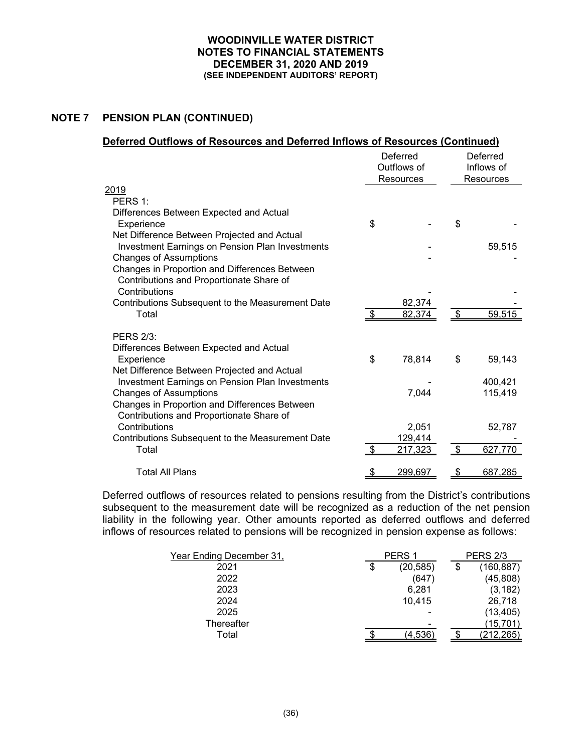## **NOTE 7 PENSION PLAN (CONTINUED)**

#### **Deferred Outflows of Resources and Deferred Inflows of Resources (Continued)**

|                                                        | Deferred<br>Outflows of<br>Resources | Deferred<br>Inflows of<br>Resources |         |  |
|--------------------------------------------------------|--------------------------------------|-------------------------------------|---------|--|
| 2019                                                   |                                      |                                     |         |  |
| PERS 1:                                                |                                      |                                     |         |  |
| Differences Between Expected and Actual                |                                      |                                     |         |  |
| Experience                                             | \$                                   | \$                                  |         |  |
| Net Difference Between Projected and Actual            |                                      |                                     |         |  |
| <b>Investment Earnings on Pension Plan Investments</b> |                                      |                                     | 59,515  |  |
| <b>Changes of Assumptions</b>                          |                                      |                                     |         |  |
| Changes in Proportion and Differences Between          |                                      |                                     |         |  |
| Contributions and Proportionate Share of               |                                      |                                     |         |  |
| Contributions                                          |                                      |                                     |         |  |
| Contributions Subsequent to the Measurement Date       | 82,374                               |                                     |         |  |
| Total                                                  | \$<br>82,374                         | \$                                  | 59,515  |  |
|                                                        |                                      |                                     |         |  |
| <b>PERS 2/3:</b>                                       |                                      |                                     |         |  |
| Differences Between Expected and Actual                |                                      |                                     |         |  |
| Experience                                             | \$<br>78,814                         | \$                                  | 59,143  |  |
| Net Difference Between Projected and Actual            |                                      |                                     |         |  |
| <b>Investment Earnings on Pension Plan Investments</b> |                                      |                                     | 400,421 |  |
| <b>Changes of Assumptions</b>                          | 7,044                                |                                     | 115,419 |  |
| Changes in Proportion and Differences Between          |                                      |                                     |         |  |
| Contributions and Proportionate Share of               |                                      |                                     |         |  |
| Contributions                                          | 2,051                                |                                     | 52,787  |  |
| Contributions Subsequent to the Measurement Date       | 129,414                              |                                     |         |  |
| Total                                                  | 217,323                              |                                     | 627.770 |  |
| <b>Total All Plans</b>                                 | \$<br>299,697                        | S                                   | 687,285 |  |

Deferred outflows of resources related to pensions resulting from the District's contributions subsequent to the measurement date will be recognized as a reduction of the net pension liability in the following year. Other amounts reported as deferred outflows and deferred inflows of resources related to pensions will be recognized in pension expense as follows:

| Year Ending December 31, | PERS <sub>1</sub> |   | <b>PERS 2/3</b> |
|--------------------------|-------------------|---|-----------------|
| 2021                     | \$<br>(20, 585)   | S | (160, 887)      |
| 2022                     | (647)             |   | (45,808)        |
| 2023                     | 6,281             |   | (3, 182)        |
| 2024                     | 10,415            |   | 26,718          |
| 2025                     |                   |   | (13, 405)       |
| Thereafter               |                   |   | (15, 701)       |
| Total                    | (4,536)           |   | (212, 265)      |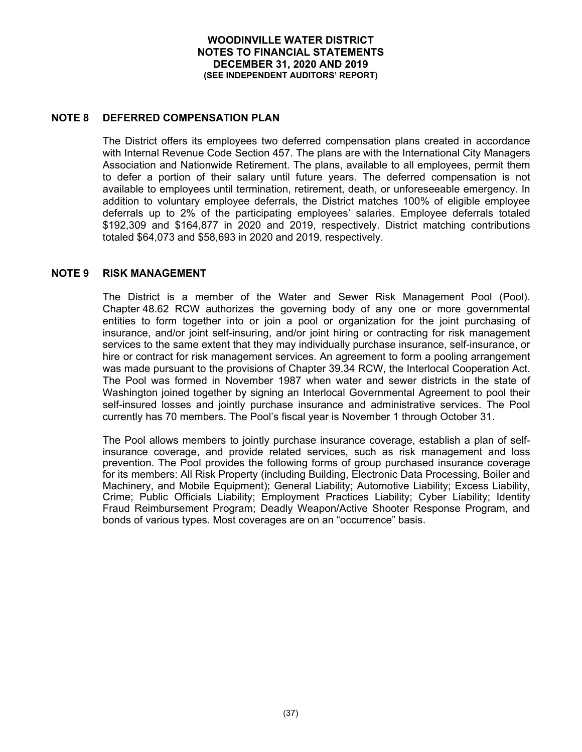## **NOTE 8 DEFERRED COMPENSATION PLAN**

The District offers its employees two deferred compensation plans created in accordance with Internal Revenue Code Section 457. The plans are with the International City Managers Association and Nationwide Retirement. The plans, available to all employees, permit them to defer a portion of their salary until future years. The deferred compensation is not available to employees until termination, retirement, death, or unforeseeable emergency. In addition to voluntary employee deferrals, the District matches 100% of eligible employee deferrals up to 2% of the participating employees' salaries. Employee deferrals totaled \$192,309 and \$164,877 in 2020 and 2019, respectively. District matching contributions totaled \$64,073 and \$58,693 in 2020 and 2019, respectively.

## **NOTE 9 RISK MANAGEMENT**

The District is a member of the Water and Sewer Risk Management Pool (Pool). Chapter 48.62 RCW authorizes the governing body of any one or more governmental entities to form together into or join a pool or organization for the joint purchasing of insurance, and/or joint self-insuring, and/or joint hiring or contracting for risk management services to the same extent that they may individually purchase insurance, self-insurance, or hire or contract for risk management services. An agreement to form a pooling arrangement was made pursuant to the provisions of Chapter 39.34 RCW, the Interlocal Cooperation Act. The Pool was formed in November 1987 when water and sewer districts in the state of Washington joined together by signing an Interlocal Governmental Agreement to pool their self-insured losses and jointly purchase insurance and administrative services. The Pool currently has 70 members. The Pool's fiscal year is November 1 through October 31.

The Pool allows members to jointly purchase insurance coverage, establish a plan of selfinsurance coverage, and provide related services, such as risk management and loss prevention. The Pool provides the following forms of group purchased insurance coverage for its members: All Risk Property (including Building, Electronic Data Processing, Boiler and Machinery, and Mobile Equipment); General Liability; Automotive Liability; Excess Liability, Crime; Public Officials Liability; Employment Practices Liability; Cyber Liability; Identity Fraud Reimbursement Program; Deadly Weapon/Active Shooter Response Program, and bonds of various types. Most coverages are on an "occurrence" basis.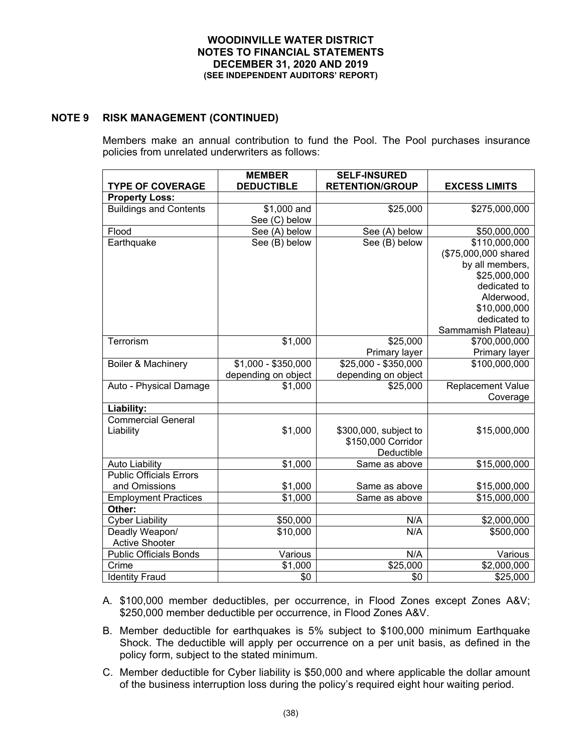## **NOTE 9 RISK MANAGEMENT (CONTINUED)**

Members make an annual contribution to fund the Pool. The Pool purchases insurance policies from unrelated underwriters as follows:

| <b>TYPE OF COVERAGE</b>                 | <b>MEMBER</b><br><b>DEDUCTIBLE</b> | <b>SELF-INSURED</b><br><b>RETENTION/GROUP</b> | <b>EXCESS LIMITS</b>      |
|-----------------------------------------|------------------------------------|-----------------------------------------------|---------------------------|
| <b>Property Loss:</b>                   |                                    |                                               |                           |
| <b>Buildings and Contents</b>           | \$1,000 and                        | \$25,000                                      | \$275,000,000             |
|                                         | See (C) below                      |                                               |                           |
| Flood                                   | See (A) below                      | See (A) below                                 | \$50,000,000              |
| Earthquake                              | See (B) below                      | See (B) below                                 | $\overline{$}110,000,000$ |
|                                         |                                    |                                               | (\$75,000,000 shared      |
|                                         |                                    |                                               | by all members,           |
|                                         |                                    |                                               | \$25,000,000              |
|                                         |                                    |                                               | dedicated to              |
|                                         |                                    |                                               | Alderwood,                |
|                                         |                                    |                                               | \$10,000,000              |
|                                         |                                    |                                               | dedicated to              |
|                                         |                                    |                                               | Sammamish Plateau)        |
| Terrorism                               | \$1,000                            | \$25,000                                      | \$700,000,000             |
|                                         |                                    | Primary layer                                 | Primary layer             |
| Boiler & Machinery                      | $$1,000 - $350,000$                | \$25,000 - \$350,000                          | \$100,000,000             |
|                                         | depending on object                | depending on object                           |                           |
| Auto - Physical Damage                  | \$1,000                            | \$25,000                                      | Replacement Value         |
|                                         |                                    |                                               | Coverage                  |
| Liability:<br><b>Commercial General</b> |                                    |                                               |                           |
|                                         |                                    |                                               | \$15,000,000              |
| Liability                               | \$1,000                            | \$300,000, subject to<br>\$150,000 Corridor   |                           |
|                                         |                                    | Deductible                                    |                           |
| <b>Auto Liability</b>                   | \$1,000                            | Same as above                                 | \$15,000,000              |
| <b>Public Officials Errors</b>          |                                    |                                               |                           |
| and Omissions                           | \$1,000                            | Same as above                                 | \$15,000,000              |
| <b>Employment Practices</b>             | \$1,000                            | Same as above                                 | \$15,000,000              |
| Other:                                  |                                    |                                               |                           |
| <b>Cyber Liability</b>                  | \$50,000                           | N/A                                           | \$2,000,000               |
| Deadly Weapon/                          | \$10,000                           | N/A                                           | \$500,000                 |
| <b>Active Shooter</b>                   |                                    |                                               |                           |
| <b>Public Officials Bonds</b>           | Various                            | N/A                                           | Various                   |
| Crime                                   | \$1,000                            | \$25,000                                      | \$2,000,000               |
| <b>Identity Fraud</b>                   | \$0                                | \$0                                           | \$25,000                  |

- A. \$100,000 member deductibles, per occurrence, in Flood Zones except Zones A&V; \$250,000 member deductible per occurrence, in Flood Zones A&V.
- B. Member deductible for earthquakes is 5% subject to \$100,000 minimum Earthquake Shock. The deductible will apply per occurrence on a per unit basis, as defined in the policy form, subject to the stated minimum.
- C. Member deductible for Cyber liability is \$50,000 and where applicable the dollar amount of the business interruption loss during the policy's required eight hour waiting period.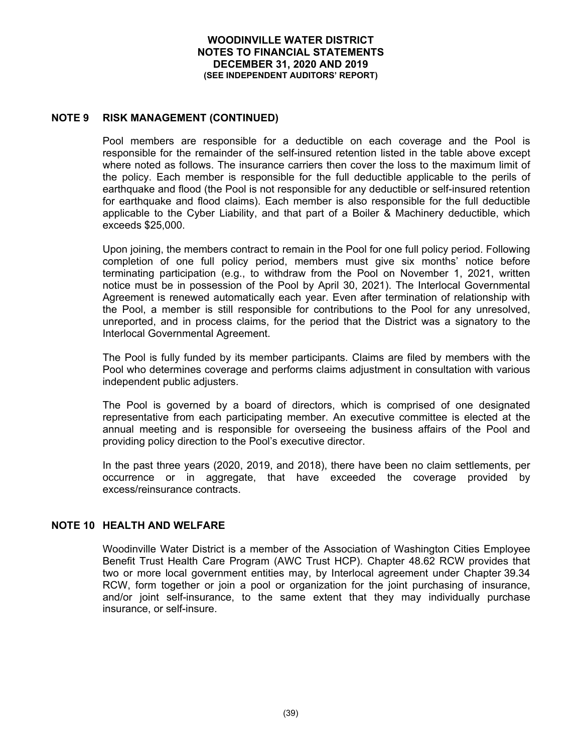## **NOTE 9 RISK MANAGEMENT (CONTINUED)**

Pool members are responsible for a deductible on each coverage and the Pool is responsible for the remainder of the self-insured retention listed in the table above except where noted as follows. The insurance carriers then cover the loss to the maximum limit of the policy. Each member is responsible for the full deductible applicable to the perils of earthquake and flood (the Pool is not responsible for any deductible or self-insured retention for earthquake and flood claims). Each member is also responsible for the full deductible applicable to the Cyber Liability, and that part of a Boiler & Machinery deductible, which exceeds \$25,000.

Upon joining, the members contract to remain in the Pool for one full policy period. Following completion of one full policy period, members must give six months' notice before terminating participation (e.g., to withdraw from the Pool on November 1, 2021, written notice must be in possession of the Pool by April 30, 2021). The Interlocal Governmental Agreement is renewed automatically each year. Even after termination of relationship with the Pool, a member is still responsible for contributions to the Pool for any unresolved, unreported, and in process claims, for the period that the District was a signatory to the Interlocal Governmental Agreement.

The Pool is fully funded by its member participants. Claims are filed by members with the Pool who determines coverage and performs claims adjustment in consultation with various independent public adjusters.

The Pool is governed by a board of directors, which is comprised of one designated representative from each participating member. An executive committee is elected at the annual meeting and is responsible for overseeing the business affairs of the Pool and providing policy direction to the Pool's executive director.

In the past three years (2020, 2019, and 2018), there have been no claim settlements, per occurrence or in aggregate, that have exceeded the coverage provided by excess/reinsurance contracts.

## **NOTE 10 HEALTH AND WELFARE**

Woodinville Water District is a member of the Association of Washington Cities Employee Benefit Trust Health Care Program (AWC Trust HCP). Chapter 48.62 RCW provides that two or more local government entities may, by Interlocal agreement under Chapter 39.34 RCW, form together or join a pool or organization for the joint purchasing of insurance, and/or joint self-insurance, to the same extent that they may individually purchase insurance, or self-insure.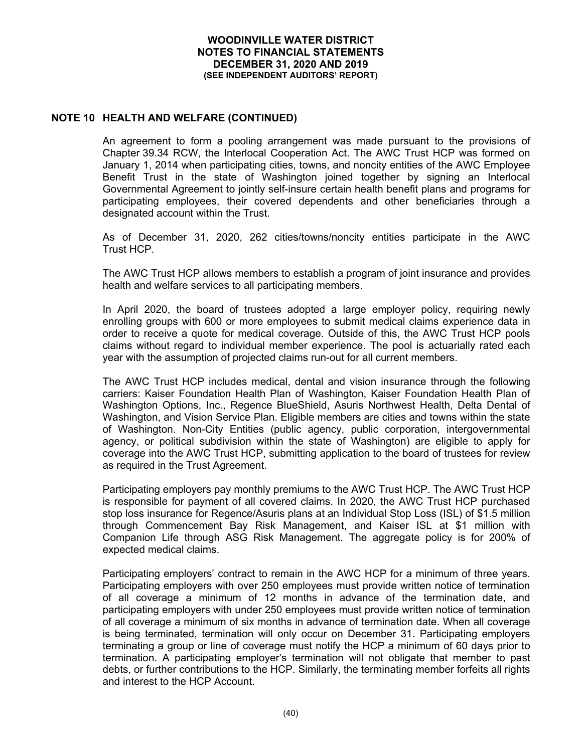## **NOTE 10 HEALTH AND WELFARE (CONTINUED)**

An agreement to form a pooling arrangement was made pursuant to the provisions of Chapter 39.34 RCW, the Interlocal Cooperation Act. The AWC Trust HCP was formed on January 1, 2014 when participating cities, towns, and noncity entities of the AWC Employee Benefit Trust in the state of Washington joined together by signing an Interlocal Governmental Agreement to jointly self-insure certain health benefit plans and programs for participating employees, their covered dependents and other beneficiaries through a designated account within the Trust.

As of December 31, 2020, 262 cities/towns/noncity entities participate in the AWC Trust HCP.

The AWC Trust HCP allows members to establish a program of joint insurance and provides health and welfare services to all participating members.

In April 2020, the board of trustees adopted a large employer policy, requiring newly enrolling groups with 600 or more employees to submit medical claims experience data in order to receive a quote for medical coverage. Outside of this, the AWC Trust HCP pools claims without regard to individual member experience. The pool is actuarially rated each year with the assumption of projected claims run-out for all current members.

The AWC Trust HCP includes medical, dental and vision insurance through the following carriers: Kaiser Foundation Health Plan of Washington, Kaiser Foundation Health Plan of Washington Options, Inc., Regence BlueShield, Asuris Northwest Health, Delta Dental of Washington, and Vision Service Plan. Eligible members are cities and towns within the state of Washington. Non-City Entities (public agency, public corporation, intergovernmental agency, or political subdivision within the state of Washington) are eligible to apply for coverage into the AWC Trust HCP, submitting application to the board of trustees for review as required in the Trust Agreement.

Participating employers pay monthly premiums to the AWC Trust HCP. The AWC Trust HCP is responsible for payment of all covered claims. In 2020, the AWC Trust HCP purchased stop loss insurance for Regence/Asuris plans at an Individual Stop Loss (ISL) of \$1.5 million through Commencement Bay Risk Management, and Kaiser ISL at \$1 million with Companion Life through ASG Risk Management. The aggregate policy is for 200% of expected medical claims.

Participating employers' contract to remain in the AWC HCP for a minimum of three years. Participating employers with over 250 employees must provide written notice of termination of all coverage a minimum of 12 months in advance of the termination date, and participating employers with under 250 employees must provide written notice of termination of all coverage a minimum of six months in advance of termination date. When all coverage is being terminated, termination will only occur on December 31. Participating employers terminating a group or line of coverage must notify the HCP a minimum of 60 days prior to termination. A participating employer's termination will not obligate that member to past debts, or further contributions to the HCP. Similarly, the terminating member forfeits all rights and interest to the HCP Account.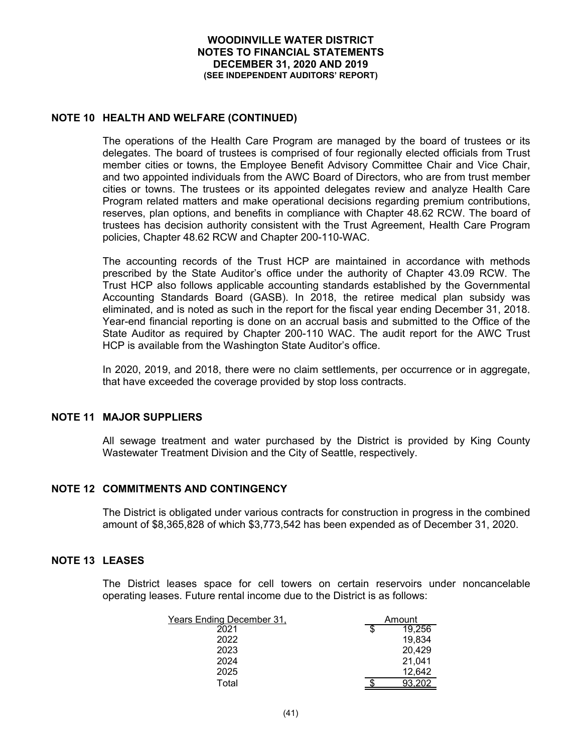## **NOTE 10 HEALTH AND WELFARE (CONTINUED)**

The operations of the Health Care Program are managed by the board of trustees or its delegates. The board of trustees is comprised of four regionally elected officials from Trust member cities or towns, the Employee Benefit Advisory Committee Chair and Vice Chair, and two appointed individuals from the AWC Board of Directors, who are from trust member cities or towns. The trustees or its appointed delegates review and analyze Health Care Program related matters and make operational decisions regarding premium contributions, reserves, plan options, and benefits in compliance with Chapter 48.62 RCW. The board of trustees has decision authority consistent with the Trust Agreement, Health Care Program policies, Chapter 48.62 RCW and Chapter 200-110-WAC.

The accounting records of the Trust HCP are maintained in accordance with methods prescribed by the State Auditor's office under the authority of Chapter 43.09 RCW. The Trust HCP also follows applicable accounting standards established by the Governmental Accounting Standards Board (GASB). In 2018, the retiree medical plan subsidy was eliminated, and is noted as such in the report for the fiscal year ending December 31, 2018. Year-end financial reporting is done on an accrual basis and submitted to the Office of the State Auditor as required by Chapter 200-110 WAC. The audit report for the AWC Trust HCP is available from the Washington State Auditor's office.

In 2020, 2019, and 2018, there were no claim settlements, per occurrence or in aggregate, that have exceeded the coverage provided by stop loss contracts.

## **NOTE 11 MAJOR SUPPLIERS**

All sewage treatment and water purchased by the District is provided by King County Wastewater Treatment Division and the City of Seattle, respectively.

## **NOTE 12 COMMITMENTS AND CONTINGENCY**

The District is obligated under various contracts for construction in progress in the combined amount of \$8,365,828 of which \$3,773,542 has been expended as of December 31, 2020.

## **NOTE 13 LEASES**

The District leases space for cell towers on certain reservoirs under noncancelable operating leases. Future rental income due to the District is as follows:

| Years Ending December 31, |   | Amount |
|---------------------------|---|--------|
| 2021                      | S | 19,256 |
| 2022                      |   | 19,834 |
| 2023                      |   | 20,429 |
| 2024                      |   | 21,041 |
| 2025                      |   | 12.642 |
| Total                     |   |        |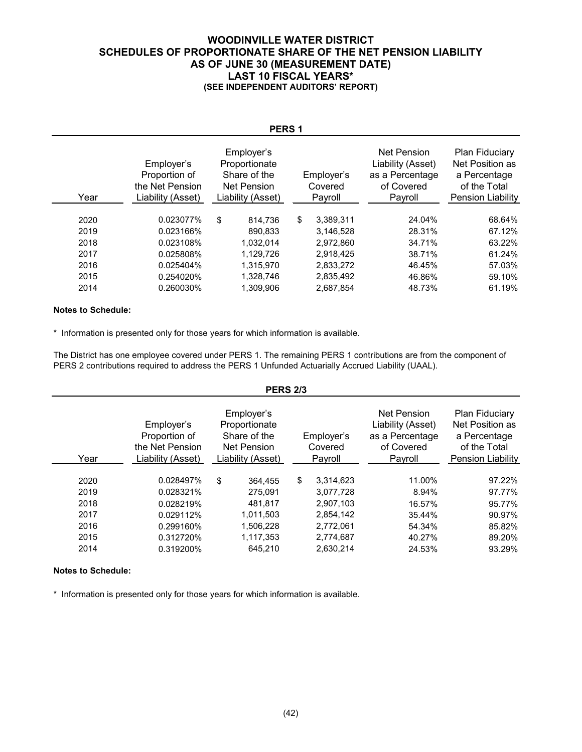## **WOODINVILLE WATER DISTRICT SCHEDULES OF PROPORTIONATE SHARE OF THE NET PENSION LIABILITY AS OF JUNE 30 (MEASUREMENT DATE) LAST 10 FISCAL YEARS\* (SEE INDEPENDENT AUDITORS' REPORT)**

| PERS <sub>1</sub> |                                                                     |    |                                                                                 |    |                                  |                                                                              |                                                                                               |  |  |  |  |
|-------------------|---------------------------------------------------------------------|----|---------------------------------------------------------------------------------|----|----------------------------------|------------------------------------------------------------------------------|-----------------------------------------------------------------------------------------------|--|--|--|--|
| Year              | Employer's<br>Proportion of<br>the Net Pension<br>Liability (Asset) |    | Employer's<br>Proportionate<br>Share of the<br>Net Pension<br>Liability (Asset) |    | Employer's<br>Covered<br>Payroll | Net Pension<br>Liability (Asset)<br>as a Percentage<br>of Covered<br>Payroll | Plan Fiduciary<br>Net Position as<br>a Percentage<br>of the Total<br><b>Pension Liability</b> |  |  |  |  |
| 2020              | 0.023077%                                                           | \$ |                                                                                 | \$ | 3,389,311                        | 24.04%                                                                       | 68.64%                                                                                        |  |  |  |  |
|                   |                                                                     |    | 814.736                                                                         |    |                                  |                                                                              |                                                                                               |  |  |  |  |
| 2019              | 0.023166%                                                           |    | 890.833                                                                         |    | 3.146.528                        | 28.31%                                                                       | 67.12%                                                                                        |  |  |  |  |
| 2018              | 0.023108%                                                           |    | 1.032.014                                                                       |    | 2.972.860                        | 34.71%                                                                       | 63.22%                                                                                        |  |  |  |  |
| 2017              | 0.025808%                                                           |    | 1.129.726                                                                       |    | 2,918,425                        | 38.71%                                                                       | 61.24%                                                                                        |  |  |  |  |
| 2016              | 0.025404%                                                           |    | 1,315,970                                                                       |    | 2,833,272                        | 46.45%                                                                       | 57.03%                                                                                        |  |  |  |  |
| 2015              | 0.254020%                                                           |    | 1,328,746                                                                       |    | 2,835,492                        | 46.86%                                                                       | 59.10%                                                                                        |  |  |  |  |
| 2014              | 0.260030%                                                           |    | 1.309.906                                                                       |    | 2,687,854                        | 48.73%                                                                       | 61.19%                                                                                        |  |  |  |  |

#### **Notes to Schedule:**

\* Information is presented only for those years for which information is available.

The District has one employee covered under PERS 1. The remaining PERS 1 contributions are from the component of PERS 2 contributions required to address the PERS 1 Unfunded Actuarially Accrued Liability (UAAL).

| <b>PERS 2/3</b> |                                                                     |                                                                                        |                                  |                                                                              |                                                                                        |  |  |  |  |  |  |  |
|-----------------|---------------------------------------------------------------------|----------------------------------------------------------------------------------------|----------------------------------|------------------------------------------------------------------------------|----------------------------------------------------------------------------------------|--|--|--|--|--|--|--|
| Year            | Employer's<br>Proportion of<br>the Net Pension<br>Liability (Asset) | Employer's<br>Proportionate<br>Share of the<br><b>Net Pension</b><br>Liability (Asset) | Employer's<br>Covered<br>Payroll | Net Pension<br>Liability (Asset)<br>as a Percentage<br>of Covered<br>Payroll | Plan Fiduciary<br>Net Position as<br>a Percentage<br>of the Total<br>Pension Liability |  |  |  |  |  |  |  |
| 2020            | 0.028497%                                                           | \$<br>364,455                                                                          | \$<br>3.314.623                  | 11.00%                                                                       | 97.22%                                                                                 |  |  |  |  |  |  |  |
| 2019            | 0.028321%                                                           | 275.091                                                                                | 3,077,728                        | 8.94%                                                                        | 97.77%                                                                                 |  |  |  |  |  |  |  |
| 2018            | 0.028219%                                                           | 481.817                                                                                | 2,907,103                        | 16.57%                                                                       | 95.77%                                                                                 |  |  |  |  |  |  |  |
| 2017            | 0.029112%                                                           | 1,011,503                                                                              | 2,854,142                        | 35.44%                                                                       | 90.97%                                                                                 |  |  |  |  |  |  |  |
| 2016            | 0.299160%                                                           | 1,506,228                                                                              | 2,772,061                        | 54.34%                                                                       | 85.82%                                                                                 |  |  |  |  |  |  |  |
| 2015            | 0.312720%                                                           | 1,117,353                                                                              | 2.774.687                        | 40.27%                                                                       | 89.20%                                                                                 |  |  |  |  |  |  |  |
| 2014            | 0.319200%                                                           | 645,210                                                                                | 2,630,214                        | 24.53%                                                                       | 93.29%                                                                                 |  |  |  |  |  |  |  |

#### **Notes to Schedule:**

\* Information is presented only for those years for which information is available.

## (42)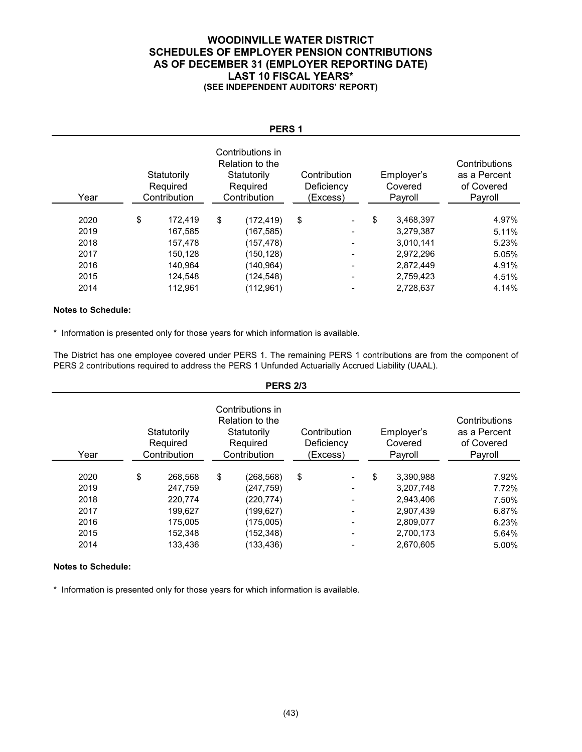## **WOODINVILLE WATER DISTRICT SCHEDULES OF EMPLOYER PENSION CONTRIBUTIONS AS OF DECEMBER 31 (EMPLOYER REPORTING DATE) LAST 10 FISCAL YEARS\* (SEE INDEPENDENT AUDITORS' REPORT)**

| PERS <sub>1</sub> |    |                                         |    |                                                                                |    |                                        |    |                                  |                                                        |
|-------------------|----|-----------------------------------------|----|--------------------------------------------------------------------------------|----|----------------------------------------|----|----------------------------------|--------------------------------------------------------|
| Year              |    | Statutorily<br>Required<br>Contribution |    | Contributions in<br>Relation to the<br>Statutorily<br>Required<br>Contribution |    | Contribution<br>Deficiency<br>(Excess) |    | Employer's<br>Covered<br>Payroll | Contributions<br>as a Percent<br>of Covered<br>Payroll |
|                   |    |                                         |    |                                                                                |    |                                        |    |                                  |                                                        |
| 2020              | \$ | 172.419                                 | \$ | (172, 419)                                                                     | \$ |                                        | \$ | 3,468,397                        | 4.97%                                                  |
| 2019              |    | 167,585                                 |    | (167, 585)                                                                     |    | -                                      |    | 3,279,387                        | 5.11%                                                  |
| 2018              |    | 157,478                                 |    | (157, 478)                                                                     |    |                                        |    | 3,010,141                        | 5.23%                                                  |
| 2017              |    | 150,128                                 |    | (150, 128)                                                                     |    |                                        |    | 2,972,296                        | 5.05%                                                  |
| 2016              |    | 140.964                                 |    | (140,964)                                                                      |    |                                        |    | 2,872,449                        | 4.91%                                                  |
| 2015              |    | 124.548                                 |    | (124, 548)                                                                     |    |                                        |    | 2,759,423                        | 4.51%                                                  |
| 2014              |    | 112,961                                 |    | (112,961)                                                                      |    |                                        |    | 2,728,637                        | 4.14%                                                  |

#### **Notes to Schedule:**

\* Information is presented only for those years for which information is available.

The District has one employee covered under PERS 1. The remaining PERS 1 contributions are from the component of PERS 2 contributions required to address the PERS 1 Unfunded Actuarially Accrued Liability (UAAL).

| <b>PERS 2/3</b> |    |                                         |    |                                                                                |                            |          |    |                                  |                                                        |  |
|-----------------|----|-----------------------------------------|----|--------------------------------------------------------------------------------|----------------------------|----------|----|----------------------------------|--------------------------------------------------------|--|
| Year            |    | Statutorily<br>Required<br>Contribution |    | Contributions in<br>Relation to the<br>Statutorily<br>Required<br>Contribution | Contribution<br>Deficiency | (Excess) |    | Employer's<br>Covered<br>Payroll | Contributions<br>as a Percent<br>of Covered<br>Payroll |  |
| 2020            | \$ | 268,568                                 | \$ | (268, 568)                                                                     | \$                         |          | \$ | 3,390,988                        | 7.92%                                                  |  |
| 2019            |    | 247,759                                 |    | (247,759)                                                                      |                            |          |    | 3,207,748                        | 7.72%                                                  |  |
| 2018            |    | 220.774                                 |    | (220,774)                                                                      |                            |          |    | 2,943,406                        | 7.50%                                                  |  |
| 2017            |    | 199,627                                 |    | (199, 627)                                                                     |                            |          |    | 2,907,439                        | 6.87%                                                  |  |
| 2016            |    | 175.005                                 |    | (175,005)                                                                      |                            |          |    | 2,809,077                        | 6.23%                                                  |  |
| 2015            |    | 152,348                                 |    | (152,348)                                                                      |                            |          |    | 2,700,173                        | 5.64%                                                  |  |
| 2014            |    | 133,436                                 |    | (133, 436)                                                                     |                            |          |    | 2.670.605                        | 5.00%                                                  |  |

#### **Notes to Schedule:**

\* Information is presented only for those years for which information is available.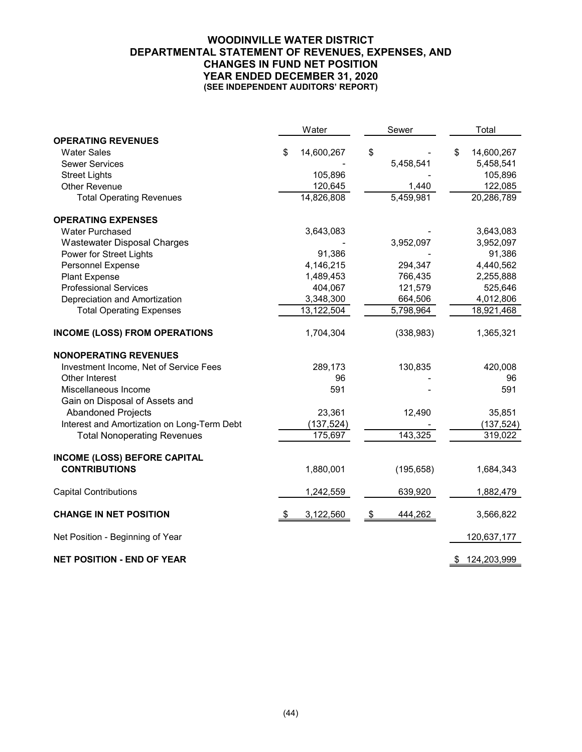## **WOODINVILLE WATER DISTRICT DEPARTMENTAL STATEMENT OF REVENUES, EXPENSES, AND CHANGES IN FUND NET POSITION YEAR ENDED DECEMBER 31, 2020 (SEE INDEPENDENT AUDITORS' REPORT)**

|                                             | Water            |           | Sewer      | Total             |
|---------------------------------------------|------------------|-----------|------------|-------------------|
| <b>OPERATING REVENUES</b>                   |                  |           |            |                   |
| <b>Water Sales</b>                          | \$<br>14,600,267 | \$        |            | \$<br>14,600,267  |
| <b>Sewer Services</b>                       |                  |           | 5,458,541  | 5,458,541         |
| <b>Street Lights</b>                        | 105,896          |           |            | 105,896           |
| <b>Other Revenue</b>                        | 120,645          |           | 1,440      | 122,085           |
| <b>Total Operating Revenues</b>             | 14,826,808       |           | 5,459,981  | 20,286,789        |
| <b>OPERATING EXPENSES</b>                   |                  |           |            |                   |
| <b>Water Purchased</b>                      | 3,643,083        |           |            | 3,643,083         |
| <b>Wastewater Disposal Charges</b>          |                  |           | 3,952,097  | 3,952,097         |
| Power for Street Lights                     | 91,386           |           |            | 91,386            |
| Personnel Expense                           | 4,146,215        |           | 294,347    | 4,440,562         |
| <b>Plant Expense</b>                        | 1,489,453        |           | 766,435    | 2,255,888         |
| <b>Professional Services</b>                | 404,067          |           | 121,579    | 525,646           |
| Depreciation and Amortization               | 3,348,300        |           | 664,506    | 4,012,806         |
| <b>Total Operating Expenses</b>             | 13,122,504       |           | 5,798,964  | 18,921,468        |
| <b>INCOME (LOSS) FROM OPERATIONS</b>        | 1,704,304        |           | (338, 983) | 1,365,321         |
| <b>NONOPERATING REVENUES</b>                |                  |           |            |                   |
| Investment Income, Net of Service Fees      | 289,173          |           | 130,835    | 420,008           |
| Other Interest                              | 96               |           |            | 96                |
| Miscellaneous Income                        | 591              |           |            | 591               |
| Gain on Disposal of Assets and              |                  |           |            |                   |
| <b>Abandoned Projects</b>                   | 23,361           |           | 12,490     | 35,851            |
| Interest and Amortization on Long-Term Debt | (137, 524)       |           |            | (137, 524)        |
| <b>Total Nonoperating Revenues</b>          | 175,697          |           | 143,325    | 319,022           |
| <b>INCOME (LOSS) BEFORE CAPITAL</b>         |                  |           |            |                   |
| <b>CONTRIBUTIONS</b>                        | 1,880,001        |           | (195, 658) | 1,684,343         |
| <b>Capital Contributions</b>                | 1,242,559        |           | 639,920    | 1,882,479         |
| <b>CHANGE IN NET POSITION</b>               | 3,122,560        | <u>\$</u> | 444,262    | 3,566,822         |
| Net Position - Beginning of Year            |                  |           |            | 120,637,177       |
| <b>NET POSITION - END OF YEAR</b>           |                  |           |            | \$<br>124,203,999 |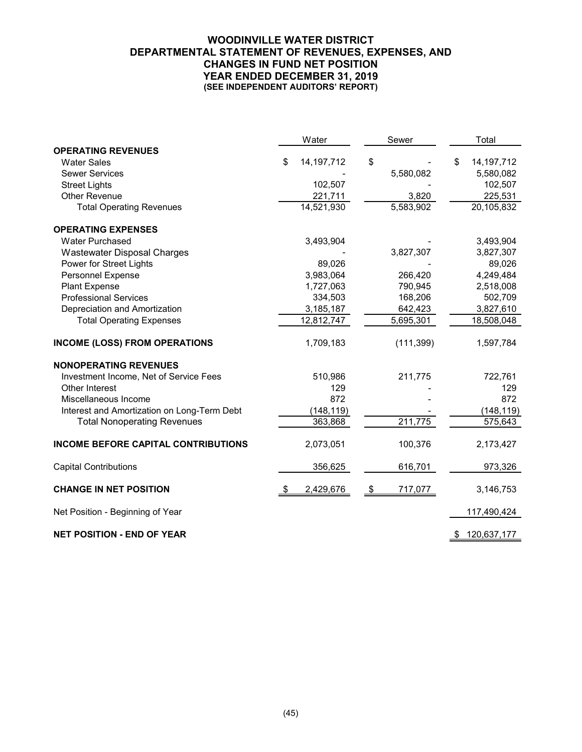## **WOODINVILLE WATER DISTRICT DEPARTMENTAL STATEMENT OF REVENUES, EXPENSES, AND CHANGES IN FUND NET POSITION YEAR ENDED DECEMBER 31, 2019 (SEE INDEPENDENT AUDITORS' REPORT)**

|                                             | Water |              |    | Sewer      | Total              |
|---------------------------------------------|-------|--------------|----|------------|--------------------|
| <b>OPERATING REVENUES</b>                   |       |              |    |            |                    |
| <b>Water Sales</b>                          | \$    | 14, 197, 712 | \$ |            | \$<br>14, 197, 712 |
| <b>Sewer Services</b>                       |       |              |    | 5,580,082  | 5,580,082          |
| <b>Street Lights</b>                        |       | 102,507      |    |            | 102,507            |
| <b>Other Revenue</b>                        |       | 221,711      |    | 3,820      | 225,531            |
| <b>Total Operating Revenues</b>             |       | 14,521,930   |    | 5,583,902  | 20,105,832         |
| <b>OPERATING EXPENSES</b>                   |       |              |    |            |                    |
| <b>Water Purchased</b>                      |       | 3,493,904    |    |            | 3,493,904          |
| <b>Wastewater Disposal Charges</b>          |       |              |    | 3,827,307  | 3,827,307          |
| Power for Street Lights                     |       | 89,026       |    |            | 89,026             |
| Personnel Expense                           |       | 3,983,064    |    | 266,420    | 4,249,484          |
| <b>Plant Expense</b>                        |       | 1,727,063    |    | 790,945    | 2,518,008          |
| <b>Professional Services</b>                |       | 334,503      |    | 168,206    | 502,709            |
| Depreciation and Amortization               |       | 3,185,187    |    | 642,423    | 3,827,610          |
| <b>Total Operating Expenses</b>             |       | 12,812,747   |    | 5,695,301  | 18,508,048         |
| <b>INCOME (LOSS) FROM OPERATIONS</b>        |       | 1,709,183    |    | (111, 399) | 1,597,784          |
| <b>NONOPERATING REVENUES</b>                |       |              |    |            |                    |
| Investment Income, Net of Service Fees      |       | 510,986      |    | 211,775    | 722,761            |
| Other Interest                              |       | 129          |    |            | 129                |
| Miscellaneous Income                        |       | 872          |    |            | 872                |
| Interest and Amortization on Long-Term Debt |       | (148, 119)   |    |            | (148, 119)         |
| <b>Total Nonoperating Revenues</b>          |       | 363,868      |    | 211,775    | 575,643            |
| INCOME BEFORE CAPITAL CONTRIBUTIONS         |       | 2,073,051    |    | 100,376    | 2,173,427          |
| <b>Capital Contributions</b>                |       | 356,625      |    | 616,701    | 973,326            |
| <b>CHANGE IN NET POSITION</b>               |       | 2,429,676    | S. | 717,077    | 3,146,753          |
| Net Position - Beginning of Year            |       |              |    |            | 117,490,424        |
| <b>NET POSITION - END OF YEAR</b>           |       |              |    |            | \$<br>120,637,177  |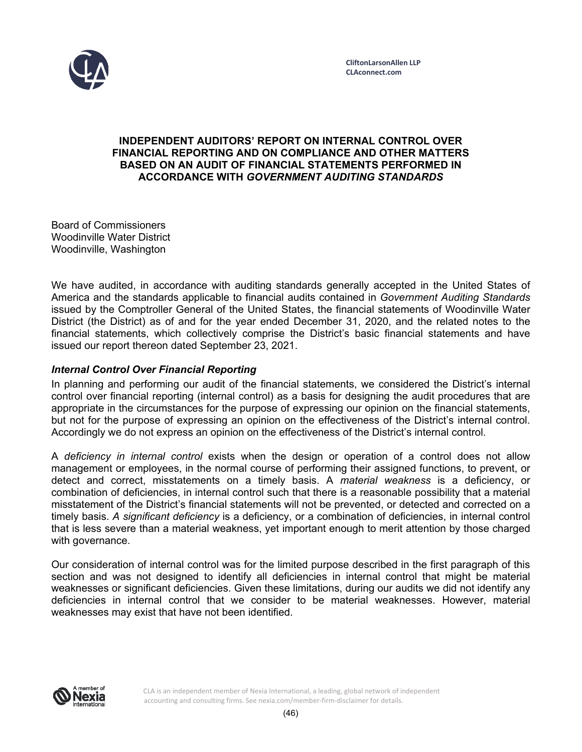

## **INDEPENDENT AUDITORS' REPORT ON INTERNAL CONTROL OVER FINANCIAL REPORTING AND ON COMPLIANCE AND OTHER MATTERS BASED ON AN AUDIT OF FINANCIAL STATEMENTS PERFORMED IN ACCORDANCE WITH** *GOVERNMENT AUDITING STANDARDS*

Board of Commissioners Woodinville Water District Woodinville, Washington

We have audited, in accordance with auditing standards generally accepted in the United States of America and the standards applicable to financial audits contained in *Government Auditing Standards* issued by the Comptroller General of the United States, the financial statements of Woodinville Water District (the District) as of and for the year ended December 31, 2020, and the related notes to the financial statements, which collectively comprise the District's basic financial statements and have issued our report thereon dated September 23, 2021.

## *Internal Control Over Financial Reporting*

In planning and performing our audit of the financial statements, we considered the District's internal control over financial reporting (internal control) as a basis for designing the audit procedures that are appropriate in the circumstances for the purpose of expressing our opinion on the financial statements, but not for the purpose of expressing an opinion on the effectiveness of the District's internal control. Accordingly we do not express an opinion on the effectiveness of the District's internal control.

A *deficiency in internal control* exists when the design or operation of a control does not allow management or employees, in the normal course of performing their assigned functions, to prevent, or detect and correct, misstatements on a timely basis. A *material weakness* is a deficiency, or combination of deficiencies, in internal control such that there is a reasonable possibility that a material misstatement of the District's financial statements will not be prevented, or detected and corrected on a timely basis. *A significant deficiency* is a deficiency, or a combination of deficiencies, in internal control that is less severe than a material weakness, yet important enough to merit attention by those charged with governance.

Our consideration of internal control was for the limited purpose described in the first paragraph of this section and was not designed to identify all deficiencies in internal control that might be material weaknesses or significant deficiencies. Given these limitations, during our audits we did not identify any deficiencies in internal control that we consider to be material weaknesses. However, material weaknesses may exist that have not been identified.



CLA is an independent member of Nexia International, a leading, global network of independent accounting and consulting firms. See nexia.com/member-firm-disclaimer for details.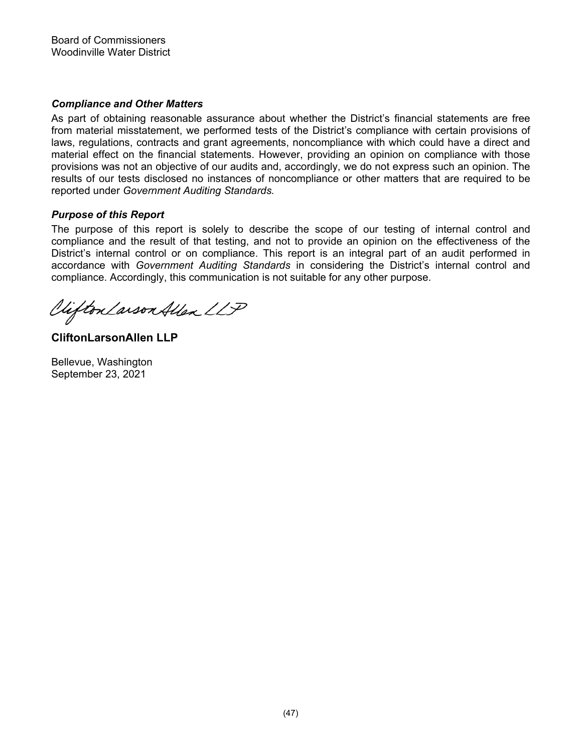## *Compliance and Other Matters*

As part of obtaining reasonable assurance about whether the District's financial statements are free from material misstatement, we performed tests of the District's compliance with certain provisions of laws, regulations, contracts and grant agreements, noncompliance with which could have a direct and material effect on the financial statements. However, providing an opinion on compliance with those provisions was not an objective of our audits and, accordingly, we do not express such an opinion. The results of our tests disclosed no instances of noncompliance or other matters that are required to be reported under *Government Auditing Standards.*

## *Purpose of this Report*

The purpose of this report is solely to describe the scope of our testing of internal control and compliance and the result of that testing, and not to provide an opinion on the effectiveness of the District's internal control or on compliance. This report is an integral part of an audit performed in accordance with *Government Auditing Standards* in considering the District's internal control and compliance. Accordingly, this communication is not suitable for any other purpose.

Clifton Larson Allen LLP

**CliftonLarsonAllen LLP** 

Bellevue, Washington September 23, 2021